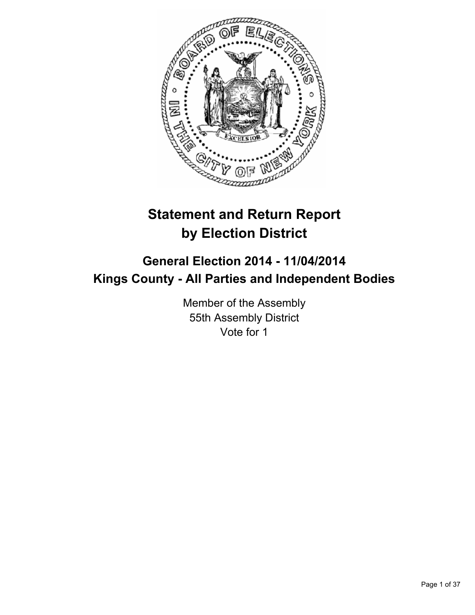

# **Statement and Return Report by Election District**

# **General Election 2014 - 11/04/2014 Kings County - All Parties and Independent Bodies**

Member of the Assembly 55th Assembly District Vote for 1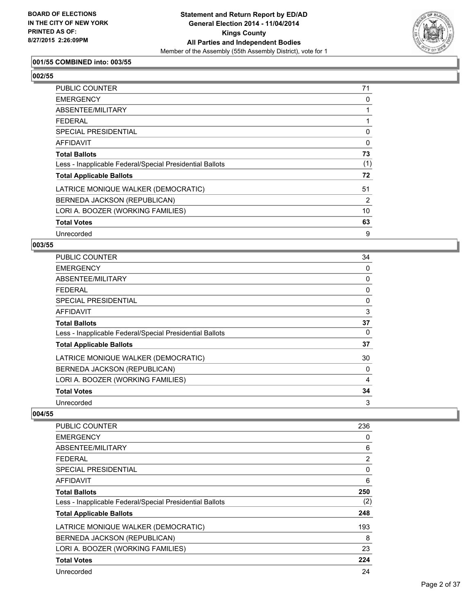

# **001/55 COMBINED into: 003/55**

**002/55** 

| PUBLIC COUNTER                                           | 71  |
|----------------------------------------------------------|-----|
| <b>EMERGENCY</b>                                         | 0   |
| ABSENTEE/MILITARY                                        |     |
| <b>FEDERAL</b>                                           |     |
| <b>SPECIAL PRESIDENTIAL</b>                              | 0   |
| AFFIDAVIT                                                | 0   |
| <b>Total Ballots</b>                                     | 73  |
| Less - Inapplicable Federal/Special Presidential Ballots | (1) |
| <b>Total Applicable Ballots</b>                          | 72  |
| LATRICE MONIQUE WALKER (DEMOCRATIC)                      | 51  |
| BERNEDA JACKSON (REPUBLICAN)                             | 2   |
| LORI A. BOOZER (WORKING FAMILIES)                        | 10  |
| <b>Total Votes</b>                                       | 63  |
| Unrecorded                                               | 9   |

#### **003/55**

| <b>PUBLIC COUNTER</b>                                    | 34 |
|----------------------------------------------------------|----|
| <b>EMERGENCY</b>                                         | 0  |
| ABSENTEE/MILITARY                                        | 0  |
| FEDERAL                                                  | 0  |
| SPECIAL PRESIDENTIAL                                     | 0  |
| <b>AFFIDAVIT</b>                                         | 3  |
| <b>Total Ballots</b>                                     | 37 |
| Less - Inapplicable Federal/Special Presidential Ballots | 0  |
| <b>Total Applicable Ballots</b>                          | 37 |
| LATRICE MONIQUE WALKER (DEMOCRATIC)                      | 30 |
| BERNEDA JACKSON (REPUBLICAN)                             | 0  |
| LORI A. BOOZER (WORKING FAMILIES)                        | 4  |
| <b>Total Votes</b>                                       | 34 |
| Unrecorded                                               | 3  |

| PUBLIC COUNTER                                           | 236 |
|----------------------------------------------------------|-----|
| <b>EMERGENCY</b>                                         | 0   |
| ABSENTEE/MILITARY                                        | 6   |
| <b>FEDERAL</b>                                           | 2   |
| SPECIAL PRESIDENTIAL                                     | 0   |
| AFFIDAVIT                                                | 6   |
| <b>Total Ballots</b>                                     | 250 |
| Less - Inapplicable Federal/Special Presidential Ballots | (2) |
| <b>Total Applicable Ballots</b>                          | 248 |
| LATRICE MONIQUE WALKER (DEMOCRATIC)                      | 193 |
| BERNEDA JACKSON (REPUBLICAN)                             | 8   |
| LORI A. BOOZER (WORKING FAMILIES)                        | 23  |
| <b>Total Votes</b>                                       | 224 |
| Unrecorded                                               | 24  |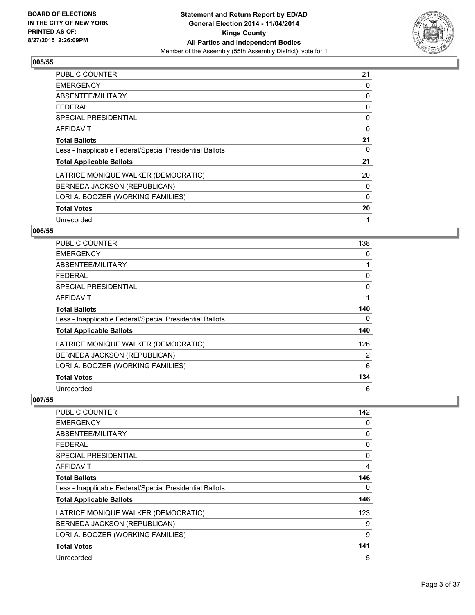

| <b>PUBLIC COUNTER</b>                                    | 21 |
|----------------------------------------------------------|----|
| <b>EMERGENCY</b>                                         | 0  |
| ABSENTEE/MILITARY                                        | 0  |
| <b>FEDERAL</b>                                           | 0  |
| <b>SPECIAL PRESIDENTIAL</b>                              | 0  |
| <b>AFFIDAVIT</b>                                         | 0  |
| <b>Total Ballots</b>                                     | 21 |
| Less - Inapplicable Federal/Special Presidential Ballots | 0  |
| <b>Total Applicable Ballots</b>                          | 21 |
| LATRICE MONIQUE WALKER (DEMOCRATIC)                      | 20 |
| BERNEDA JACKSON (REPUBLICAN)                             | 0  |
| LORI A. BOOZER (WORKING FAMILIES)                        | 0  |
| <b>Total Votes</b>                                       | 20 |
| Unrecorded                                               | 1  |

# **006/55**

| <b>PUBLIC COUNTER</b>                                    | 138 |
|----------------------------------------------------------|-----|
| <b>EMERGENCY</b>                                         | 0   |
| ABSENTEE/MILITARY                                        |     |
| <b>FEDERAL</b>                                           | 0   |
| SPECIAL PRESIDENTIAL                                     | 0   |
| <b>AFFIDAVIT</b>                                         | 1   |
| <b>Total Ballots</b>                                     | 140 |
| Less - Inapplicable Federal/Special Presidential Ballots | 0   |
| <b>Total Applicable Ballots</b>                          | 140 |
| LATRICE MONIQUE WALKER (DEMOCRATIC)                      | 126 |
| BERNEDA JACKSON (REPUBLICAN)                             | 2   |
| LORI A. BOOZER (WORKING FAMILIES)                        | 6   |
| <b>Total Votes</b>                                       | 134 |
| Unrecorded                                               | 6   |

| <b>PUBLIC COUNTER</b>                                    | 142 |
|----------------------------------------------------------|-----|
| <b>EMERGENCY</b>                                         | 0   |
| ABSENTEE/MILITARY                                        | 0   |
| <b>FEDERAL</b>                                           | 0   |
| SPECIAL PRESIDENTIAL                                     | 0   |
| AFFIDAVIT                                                | 4   |
| <b>Total Ballots</b>                                     | 146 |
| Less - Inapplicable Federal/Special Presidential Ballots | 0   |
| <b>Total Applicable Ballots</b>                          | 146 |
| LATRICE MONIQUE WALKER (DEMOCRATIC)                      | 123 |
| BERNEDA JACKSON (REPUBLICAN)                             | 9   |
| LORI A. BOOZER (WORKING FAMILIES)                        | 9   |
| <b>Total Votes</b>                                       | 141 |
| Unrecorded                                               | 5   |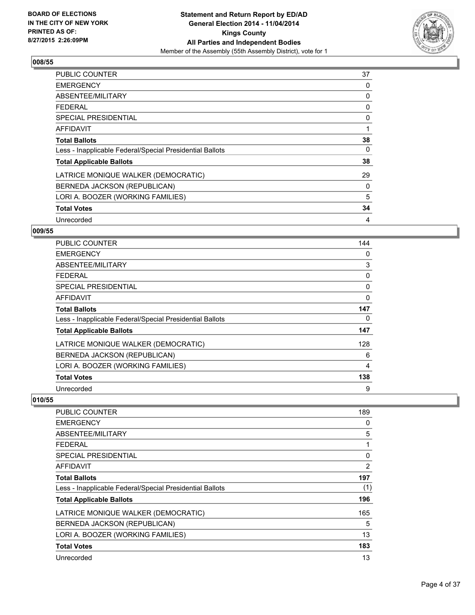

| <b>PUBLIC COUNTER</b>                                    | 37 |
|----------------------------------------------------------|----|
| <b>EMERGENCY</b>                                         | 0  |
| ABSENTEE/MILITARY                                        | 0  |
| <b>FEDERAL</b>                                           | 0  |
| SPECIAL PRESIDENTIAL                                     | 0  |
| <b>AFFIDAVIT</b>                                         | 1  |
| <b>Total Ballots</b>                                     | 38 |
| Less - Inapplicable Federal/Special Presidential Ballots | 0  |
| <b>Total Applicable Ballots</b>                          | 38 |
| LATRICE MONIQUE WALKER (DEMOCRATIC)                      | 29 |
| BERNEDA JACKSON (REPUBLICAN)                             | 0  |
| LORI A. BOOZER (WORKING FAMILIES)                        | 5  |
| <b>Total Votes</b>                                       | 34 |
| Unrecorded                                               | 4  |

# **009/55**

| PUBLIC COUNTER                                           | 144 |
|----------------------------------------------------------|-----|
| <b>EMERGENCY</b>                                         | 0   |
| ABSENTEE/MILITARY                                        | 3   |
| <b>FEDERAL</b>                                           | 0   |
| SPECIAL PRESIDENTIAL                                     | 0   |
| AFFIDAVIT                                                | 0   |
| <b>Total Ballots</b>                                     | 147 |
| Less - Inapplicable Federal/Special Presidential Ballots | 0   |
| <b>Total Applicable Ballots</b>                          | 147 |
| LATRICE MONIQUE WALKER (DEMOCRATIC)                      | 128 |
| BERNEDA JACKSON (REPUBLICAN)                             | 6   |
| LORI A. BOOZER (WORKING FAMILIES)                        | 4   |
| <b>Total Votes</b>                                       | 138 |
| Unrecorded                                               | 9   |

| <b>PUBLIC COUNTER</b>                                    | 189 |
|----------------------------------------------------------|-----|
| <b>EMERGENCY</b>                                         | 0   |
| ABSENTEE/MILITARY                                        | 5   |
| <b>FEDERAL</b>                                           |     |
| SPECIAL PRESIDENTIAL                                     | 0   |
| AFFIDAVIT                                                | 2   |
| <b>Total Ballots</b>                                     | 197 |
| Less - Inapplicable Federal/Special Presidential Ballots | (1) |
| <b>Total Applicable Ballots</b>                          | 196 |
| LATRICE MONIQUE WALKER (DEMOCRATIC)                      | 165 |
| BERNEDA JACKSON (REPUBLICAN)                             | 5   |
| LORI A. BOOZER (WORKING FAMILIES)                        | 13  |
| <b>Total Votes</b>                                       | 183 |
| Unrecorded                                               | 13  |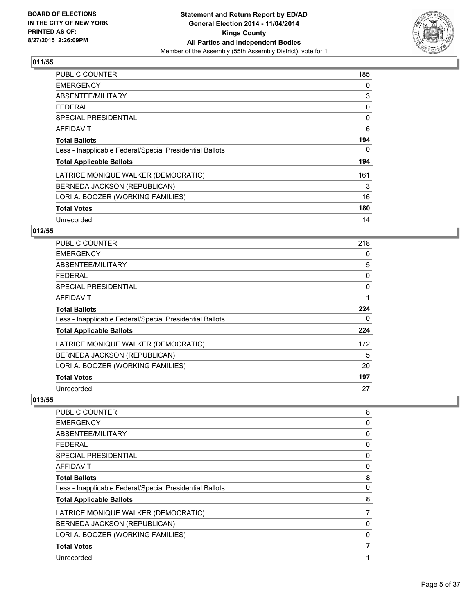

| <b>PUBLIC COUNTER</b>                                    | 185 |
|----------------------------------------------------------|-----|
| <b>EMERGENCY</b>                                         | 0   |
| ABSENTEE/MILITARY                                        | 3   |
| <b>FEDERAL</b>                                           | 0   |
| <b>SPECIAL PRESIDENTIAL</b>                              | 0   |
| <b>AFFIDAVIT</b>                                         | 6   |
| <b>Total Ballots</b>                                     | 194 |
| Less - Inapplicable Federal/Special Presidential Ballots | 0   |
| <b>Total Applicable Ballots</b>                          | 194 |
| LATRICE MONIQUE WALKER (DEMOCRATIC)                      | 161 |
| BERNEDA JACKSON (REPUBLICAN)                             | 3   |
| LORI A. BOOZER (WORKING FAMILIES)                        | 16  |
| <b>Total Votes</b>                                       | 180 |
| Unrecorded                                               | 14  |

# **012/55**

| PUBLIC COUNTER                                           | 218 |
|----------------------------------------------------------|-----|
| <b>EMERGENCY</b>                                         | 0   |
| ABSENTEE/MILITARY                                        | 5   |
| <b>FEDERAL</b>                                           | 0   |
| <b>SPECIAL PRESIDENTIAL</b>                              | 0   |
| <b>AFFIDAVIT</b>                                         | 1   |
| <b>Total Ballots</b>                                     | 224 |
| Less - Inapplicable Federal/Special Presidential Ballots | 0   |
| <b>Total Applicable Ballots</b>                          | 224 |
| LATRICE MONIQUE WALKER (DEMOCRATIC)                      | 172 |
| BERNEDA JACKSON (REPUBLICAN)                             | 5   |
| LORI A. BOOZER (WORKING FAMILIES)                        | 20  |
| <b>Total Votes</b>                                       | 197 |
| Unrecorded                                               | 27  |

| 8<br>0<br>0<br>0<br>0<br>0<br>8 |
|---------------------------------|
|                                 |
|                                 |
|                                 |
|                                 |
|                                 |
|                                 |
|                                 |
| 0                               |
| 8                               |
| 7                               |
| 0                               |
| $\Omega$                        |
| 7                               |
| 1                               |
|                                 |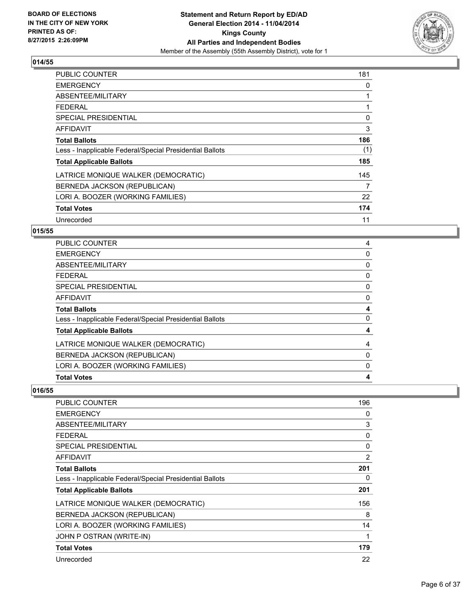

| <b>PUBLIC COUNTER</b>                                    | 181 |
|----------------------------------------------------------|-----|
| <b>EMERGENCY</b>                                         | 0   |
| ABSENTEE/MILITARY                                        |     |
| <b>FEDERAL</b>                                           |     |
| SPECIAL PRESIDENTIAL                                     | 0   |
| <b>AFFIDAVIT</b>                                         | 3   |
| <b>Total Ballots</b>                                     | 186 |
| Less - Inapplicable Federal/Special Presidential Ballots | (1) |
| <b>Total Applicable Ballots</b>                          | 185 |
| LATRICE MONIQUE WALKER (DEMOCRATIC)                      | 145 |
| BERNEDA JACKSON (REPUBLICAN)                             | 7   |
| LORI A. BOOZER (WORKING FAMILIES)                        | 22  |
| <b>Total Votes</b>                                       | 174 |
| Unrecorded                                               | 11  |

#### **015/55**

| <b>PUBLIC COUNTER</b>                                    | 4 |
|----------------------------------------------------------|---|
| <b>EMERGENCY</b>                                         | 0 |
| ABSENTEE/MILITARY                                        | 0 |
| <b>FEDERAL</b>                                           | 0 |
| SPECIAL PRESIDENTIAL                                     | 0 |
| <b>AFFIDAVIT</b>                                         | 0 |
| <b>Total Ballots</b>                                     | 4 |
| Less - Inapplicable Federal/Special Presidential Ballots | 0 |
| <b>Total Applicable Ballots</b>                          | 4 |
| LATRICE MONIQUE WALKER (DEMOCRATIC)                      | 4 |
| BERNEDA JACKSON (REPUBLICAN)                             | 0 |
| LORI A. BOOZER (WORKING FAMILIES)                        | 0 |
| <b>Total Votes</b>                                       | 4 |

| <b>PUBLIC COUNTER</b>                                    | 196 |
|----------------------------------------------------------|-----|
| <b>EMERGENCY</b>                                         | 0   |
| ABSENTEE/MILITARY                                        | 3   |
| <b>FEDERAL</b>                                           | 0   |
| SPECIAL PRESIDENTIAL                                     | 0   |
| AFFIDAVIT                                                | 2   |
| <b>Total Ballots</b>                                     | 201 |
| Less - Inapplicable Federal/Special Presidential Ballots | 0   |
| <b>Total Applicable Ballots</b>                          | 201 |
| LATRICE MONIQUE WALKER (DEMOCRATIC)                      | 156 |
| BERNEDA JACKSON (REPUBLICAN)                             | 8   |
| LORI A. BOOZER (WORKING FAMILIES)                        | 14  |
| JOHN P OSTRAN (WRITE-IN)                                 | 1   |
| <b>Total Votes</b>                                       | 179 |
| Unrecorded                                               | 22  |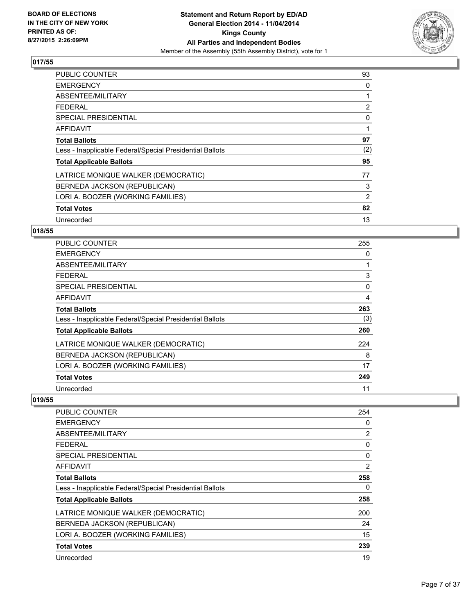

| <b>PUBLIC COUNTER</b>                                    | 93  |
|----------------------------------------------------------|-----|
| <b>EMERGENCY</b>                                         | 0   |
| ABSENTEE/MILITARY                                        | 1   |
| <b>FEDERAL</b>                                           | 2   |
| SPECIAL PRESIDENTIAL                                     | 0   |
| AFFIDAVIT                                                | 1   |
| <b>Total Ballots</b>                                     | 97  |
| Less - Inapplicable Federal/Special Presidential Ballots | (2) |
| <b>Total Applicable Ballots</b>                          | 95  |
| LATRICE MONIQUE WALKER (DEMOCRATIC)                      | 77  |
| BERNEDA JACKSON (REPUBLICAN)                             | 3   |
| LORI A. BOOZER (WORKING FAMILIES)                        | 2   |
| <b>Total Votes</b>                                       | 82  |
| Unrecorded                                               | 13  |

# **018/55**

| PUBLIC COUNTER                                           | 255      |
|----------------------------------------------------------|----------|
| <b>EMERGENCY</b>                                         | 0        |
| ABSENTEE/MILITARY                                        |          |
| <b>FEDERAL</b>                                           | 3        |
| <b>SPECIAL PRESIDENTIAL</b>                              | $\Omega$ |
| <b>AFFIDAVIT</b>                                         | 4        |
| <b>Total Ballots</b>                                     | 263      |
| Less - Inapplicable Federal/Special Presidential Ballots | (3)      |
| <b>Total Applicable Ballots</b>                          | 260      |
| LATRICE MONIQUE WALKER (DEMOCRATIC)                      | 224      |
| BERNEDA JACKSON (REPUBLICAN)                             | 8        |
| LORI A. BOOZER (WORKING FAMILIES)                        | 17       |
| <b>Total Votes</b>                                       | 249      |
| Unrecorded                                               | 11       |

| <b>PUBLIC COUNTER</b>                                    | 254 |
|----------------------------------------------------------|-----|
| <b>EMERGENCY</b>                                         | 0   |
| ABSENTEE/MILITARY                                        | 2   |
| FEDERAL                                                  | 0   |
| SPECIAL PRESIDENTIAL                                     | 0   |
| AFFIDAVIT                                                | 2   |
| <b>Total Ballots</b>                                     | 258 |
| Less - Inapplicable Federal/Special Presidential Ballots | 0   |
| <b>Total Applicable Ballots</b>                          | 258 |
| LATRICE MONIQUE WALKER (DEMOCRATIC)                      | 200 |
| BERNEDA JACKSON (REPUBLICAN)                             | 24  |
| LORI A. BOOZER (WORKING FAMILIES)                        | 15  |
| <b>Total Votes</b>                                       | 239 |
| Unrecorded                                               | 19  |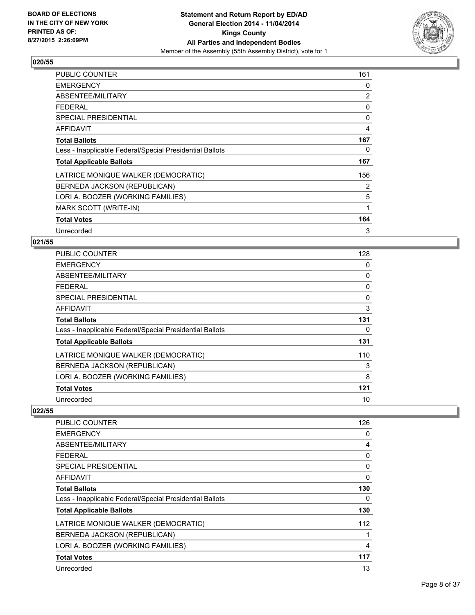

| PUBLIC COUNTER                                           | 161 |
|----------------------------------------------------------|-----|
| <b>EMERGENCY</b>                                         | 0   |
| ABSENTEE/MILITARY                                        | 2   |
| <b>FEDERAL</b>                                           | 0   |
| <b>SPECIAL PRESIDENTIAL</b>                              | 0   |
| <b>AFFIDAVIT</b>                                         | 4   |
| <b>Total Ballots</b>                                     | 167 |
| Less - Inapplicable Federal/Special Presidential Ballots | 0   |
| <b>Total Applicable Ballots</b>                          | 167 |
| LATRICE MONIQUE WALKER (DEMOCRATIC)                      | 156 |
| BERNEDA JACKSON (REPUBLICAN)                             | 2   |
| LORI A. BOOZER (WORKING FAMILIES)                        | 5   |
| MARK SCOTT (WRITE-IN)                                    | 1   |
| <b>Total Votes</b>                                       | 164 |
| Unrecorded                                               | 3   |

# **021/55**

| PUBLIC COUNTER                                           | 128 |
|----------------------------------------------------------|-----|
| <b>EMERGENCY</b>                                         | 0   |
| ABSENTEE/MILITARY                                        | 0   |
| <b>FEDERAL</b>                                           | 0   |
| <b>SPECIAL PRESIDENTIAL</b>                              | 0   |
| <b>AFFIDAVIT</b>                                         | 3   |
| <b>Total Ballots</b>                                     | 131 |
| Less - Inapplicable Federal/Special Presidential Ballots | 0   |
| <b>Total Applicable Ballots</b>                          | 131 |
| LATRICE MONIQUE WALKER (DEMOCRATIC)                      | 110 |
| BERNEDA JACKSON (REPUBLICAN)                             | 3   |
| LORI A. BOOZER (WORKING FAMILIES)                        | 8   |
| <b>Total Votes</b>                                       | 121 |
| Unrecorded                                               | 10  |

| <b>PUBLIC COUNTER</b>                                    | 126          |
|----------------------------------------------------------|--------------|
| <b>EMERGENCY</b>                                         | 0            |
| ABSENTEE/MILITARY                                        | 4            |
| <b>FEDERAL</b>                                           | 0            |
| SPECIAL PRESIDENTIAL                                     | 0            |
| AFFIDAVIT                                                | $\mathbf{0}$ |
| <b>Total Ballots</b>                                     | 130          |
| Less - Inapplicable Federal/Special Presidential Ballots | 0            |
| <b>Total Applicable Ballots</b>                          | 130          |
| LATRICE MONIQUE WALKER (DEMOCRATIC)                      | 112          |
| BERNEDA JACKSON (REPUBLICAN)                             |              |
| LORI A. BOOZER (WORKING FAMILIES)                        | 4            |
| <b>Total Votes</b>                                       | 117          |
| Unrecorded                                               | 13           |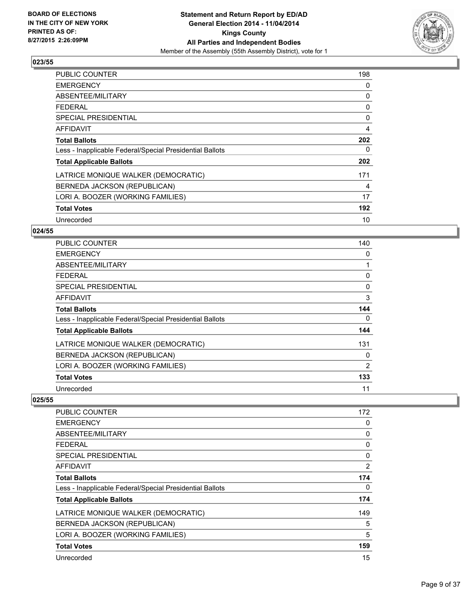

| <b>PUBLIC COUNTER</b>                                    | 198            |
|----------------------------------------------------------|----------------|
| <b>EMERGENCY</b>                                         | 0              |
| ABSENTEE/MILITARY                                        | 0              |
| FFDFRAI                                                  | 0              |
| SPECIAL PRESIDENTIAL                                     | 0              |
| <b>AFFIDAVIT</b>                                         | $\overline{4}$ |
| <b>Total Ballots</b>                                     | 202            |
| Less - Inapplicable Federal/Special Presidential Ballots | 0              |
| <b>Total Applicable Ballots</b>                          | 202            |
| LATRICE MONIQUE WALKER (DEMOCRATIC)                      | 171            |
| BERNEDA JACKSON (REPUBLICAN)                             | 4              |
| LORI A. BOOZER (WORKING FAMILIES)                        | 17             |
| <b>Total Votes</b>                                       | 192            |
| Unrecorded                                               | 10             |

# **024/55**

| PUBLIC COUNTER                                           | 140      |
|----------------------------------------------------------|----------|
| <b>EMERGENCY</b>                                         | 0        |
| ABSENTEE/MILITARY                                        |          |
| <b>FEDERAL</b>                                           | 0        |
| <b>SPECIAL PRESIDENTIAL</b>                              | 0        |
| <b>AFFIDAVIT</b>                                         | 3        |
| <b>Total Ballots</b>                                     | 144      |
| Less - Inapplicable Federal/Special Presidential Ballots | $\Omega$ |
| <b>Total Applicable Ballots</b>                          | 144      |
| LATRICE MONIQUE WALKER (DEMOCRATIC)                      | 131      |
| BERNEDA JACKSON (REPUBLICAN)                             | 0        |
| LORI A. BOOZER (WORKING FAMILIES)                        | 2        |
| <b>Total Votes</b>                                       | 133      |
| Unrecorded                                               | 11       |

| <b>PUBLIC COUNTER</b>                                    | 172      |
|----------------------------------------------------------|----------|
| <b>EMERGENCY</b>                                         | 0        |
| ABSENTEE/MILITARY                                        | 0        |
| FEDERAL                                                  | 0        |
| SPECIAL PRESIDENTIAL                                     | $\Omega$ |
| AFFIDAVIT                                                | 2        |
| <b>Total Ballots</b>                                     | 174      |
| Less - Inapplicable Federal/Special Presidential Ballots | 0        |
| <b>Total Applicable Ballots</b>                          | 174      |
| LATRICE MONIQUE WALKER (DEMOCRATIC)                      | 149      |
| BERNEDA JACKSON (REPUBLICAN)                             | 5        |
| LORI A. BOOZER (WORKING FAMILIES)                        | 5        |
| <b>Total Votes</b>                                       | 159      |
| Unrecorded                                               | 15       |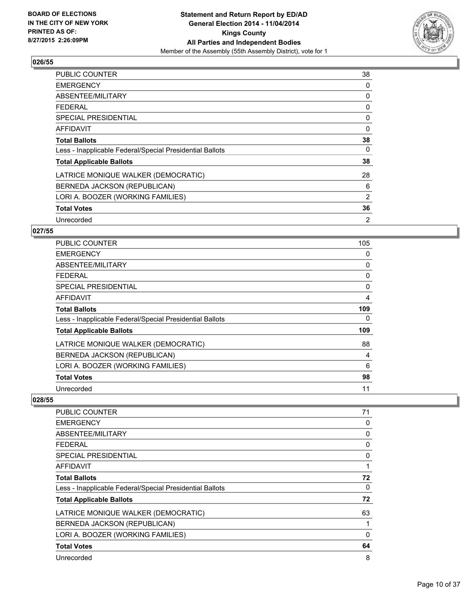

| <b>PUBLIC COUNTER</b>                                    | 38       |
|----------------------------------------------------------|----------|
| <b>EMERGENCY</b>                                         | 0        |
| ABSENTEE/MILITARY                                        | 0        |
| <b>FEDERAL</b>                                           | 0        |
| SPECIAL PRESIDENTIAL                                     | 0        |
| AFFIDAVIT                                                | $\Omega$ |
| <b>Total Ballots</b>                                     | 38       |
| Less - Inapplicable Federal/Special Presidential Ballots | 0        |
| <b>Total Applicable Ballots</b>                          | 38       |
| LATRICE MONIQUE WALKER (DEMOCRATIC)                      | 28       |
| BERNEDA JACKSON (REPUBLICAN)                             | 6        |
| LORI A. BOOZER (WORKING FAMILIES)                        | 2        |
| <b>Total Votes</b>                                       | 36       |
| Unrecorded                                               | 2        |

# **027/55**

| <b>PUBLIC COUNTER</b>                                    | 105 |
|----------------------------------------------------------|-----|
| <b>EMERGENCY</b>                                         | 0   |
| ABSENTEE/MILITARY                                        | 0   |
| <b>FEDERAL</b>                                           | 0   |
| <b>SPECIAL PRESIDENTIAL</b>                              | 0   |
| <b>AFFIDAVIT</b>                                         | 4   |
| <b>Total Ballots</b>                                     | 109 |
| Less - Inapplicable Federal/Special Presidential Ballots | 0   |
| <b>Total Applicable Ballots</b>                          | 109 |
| LATRICE MONIQUE WALKER (DEMOCRATIC)                      | 88  |
| BERNEDA JACKSON (REPUBLICAN)                             | 4   |
| LORI A. BOOZER (WORKING FAMILIES)                        | 6   |
| <b>Total Votes</b>                                       | 98  |
| Unrecorded                                               | 11  |

| <b>PUBLIC COUNTER</b>                                    | 71 |
|----------------------------------------------------------|----|
| <b>EMERGENCY</b>                                         | 0  |
| ABSENTEE/MILITARY                                        | 0  |
| FEDERAL                                                  | 0  |
| <b>SPECIAL PRESIDENTIAL</b>                              | 0  |
| AFFIDAVIT                                                | 1  |
| <b>Total Ballots</b>                                     | 72 |
| Less - Inapplicable Federal/Special Presidential Ballots | 0  |
| <b>Total Applicable Ballots</b>                          | 72 |
| LATRICE MONIQUE WALKER (DEMOCRATIC)                      | 63 |
| BERNEDA JACKSON (REPUBLICAN)                             | 1  |
| LORI A. BOOZER (WORKING FAMILIES)                        | 0  |
| <b>Total Votes</b>                                       | 64 |
| Unrecorded                                               | 8  |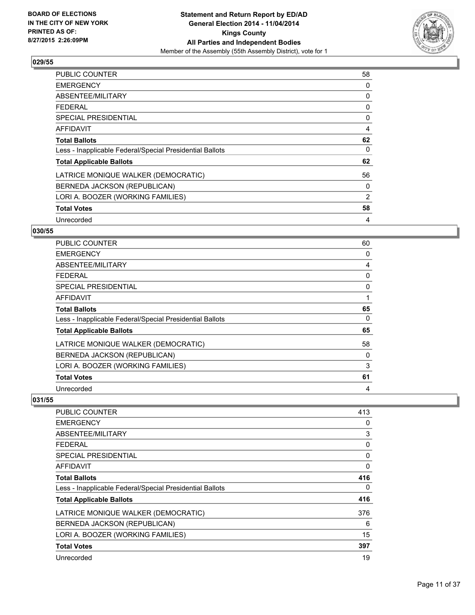

| <b>PUBLIC COUNTER</b>                                    | 58 |
|----------------------------------------------------------|----|
| <b>EMERGENCY</b>                                         | 0  |
| ABSENTEE/MILITARY                                        | 0  |
| <b>FEDERAL</b>                                           | 0  |
| SPECIAL PRESIDENTIAL                                     | 0  |
| <b>AFFIDAVIT</b>                                         | 4  |
| <b>Total Ballots</b>                                     | 62 |
| Less - Inapplicable Federal/Special Presidential Ballots | 0  |
| <b>Total Applicable Ballots</b>                          | 62 |
| LATRICE MONIQUE WALKER (DEMOCRATIC)                      | 56 |
| BERNEDA JACKSON (REPUBLICAN)                             | 0  |
| LORI A. BOOZER (WORKING FAMILIES)                        | 2  |
| <b>Total Votes</b>                                       | 58 |
| Unrecorded                                               | 4  |

# **030/55**

| <b>PUBLIC COUNTER</b>                                    | 60 |
|----------------------------------------------------------|----|
| <b>EMERGENCY</b>                                         | 0  |
| ABSENTEE/MILITARY                                        | 4  |
| <b>FEDERAL</b>                                           | 0  |
| SPECIAL PRESIDENTIAL                                     | 0  |
| <b>AFFIDAVIT</b>                                         | 1  |
| <b>Total Ballots</b>                                     | 65 |
| Less - Inapplicable Federal/Special Presidential Ballots | 0  |
| <b>Total Applicable Ballots</b>                          | 65 |
| LATRICE MONIQUE WALKER (DEMOCRATIC)                      | 58 |
| BERNEDA JACKSON (REPUBLICAN)                             | 0  |
| LORI A. BOOZER (WORKING FAMILIES)                        | 3  |
| <b>Total Votes</b>                                       | 61 |
| Unrecorded                                               | 4  |

| <b>PUBLIC COUNTER</b>                                    | 413 |
|----------------------------------------------------------|-----|
| <b>EMERGENCY</b>                                         | 0   |
| ABSENTEE/MILITARY                                        | 3   |
| FEDERAL                                                  | 0   |
| SPECIAL PRESIDENTIAL                                     | 0   |
| AFFIDAVIT                                                | 0   |
| <b>Total Ballots</b>                                     | 416 |
| Less - Inapplicable Federal/Special Presidential Ballots | 0   |
| <b>Total Applicable Ballots</b>                          | 416 |
| LATRICE MONIQUE WALKER (DEMOCRATIC)                      | 376 |
| BERNEDA JACKSON (REPUBLICAN)                             | 6   |
| LORI A. BOOZER (WORKING FAMILIES)                        | 15  |
| <b>Total Votes</b>                                       | 397 |
| Unrecorded                                               | 19  |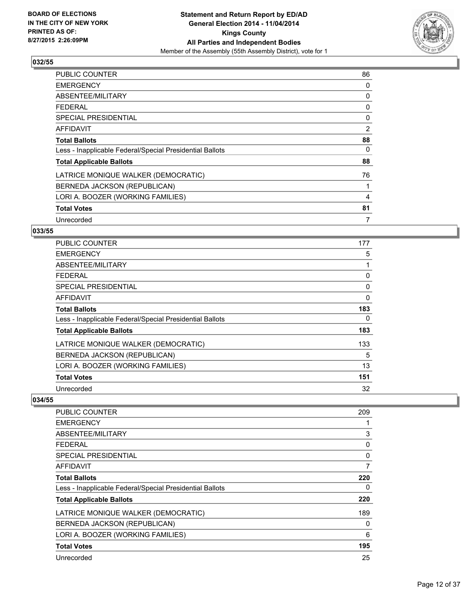

| <b>PUBLIC COUNTER</b>                                    | 86 |
|----------------------------------------------------------|----|
| <b>EMERGENCY</b>                                         | 0  |
| ABSENTEE/MILITARY                                        | 0  |
| FFDFRAI                                                  | 0  |
| SPECIAL PRESIDENTIAL                                     | 0  |
| <b>AFFIDAVIT</b>                                         | 2  |
| <b>Total Ballots</b>                                     | 88 |
| Less - Inapplicable Federal/Special Presidential Ballots | 0  |
| <b>Total Applicable Ballots</b>                          | 88 |
| LATRICE MONIQUE WALKER (DEMOCRATIC)                      | 76 |
| BERNEDA JACKSON (REPUBLICAN)                             |    |
| LORI A. BOOZER (WORKING FAMILIES)                        | 4  |
| <b>Total Votes</b>                                       | 81 |
| Unrecorded                                               | 7  |

# **033/55**

| PUBLIC COUNTER                                           | 177 |
|----------------------------------------------------------|-----|
| <b>EMERGENCY</b>                                         | 5   |
| ABSENTEE/MILITARY                                        | 1   |
| <b>FEDERAL</b>                                           | 0   |
| <b>SPECIAL PRESIDENTIAL</b>                              | 0   |
| AFFIDAVIT                                                | 0   |
| <b>Total Ballots</b>                                     | 183 |
| Less - Inapplicable Federal/Special Presidential Ballots | 0   |
| <b>Total Applicable Ballots</b>                          | 183 |
| LATRICE MONIQUE WALKER (DEMOCRATIC)                      | 133 |
| BERNEDA JACKSON (REPUBLICAN)                             | 5   |
| LORI A. BOOZER (WORKING FAMILIES)                        | 13  |
| <b>Total Votes</b>                                       | 151 |
| Unrecorded                                               | 32  |

| <b>PUBLIC COUNTER</b>                                    | 209 |
|----------------------------------------------------------|-----|
| <b>EMERGENCY</b>                                         |     |
| ABSENTEE/MILITARY                                        | 3   |
| <b>FEDERAL</b>                                           | 0   |
| SPECIAL PRESIDENTIAL                                     | 0   |
| AFFIDAVIT                                                | 7   |
| <b>Total Ballots</b>                                     | 220 |
| Less - Inapplicable Federal/Special Presidential Ballots | 0   |
| <b>Total Applicable Ballots</b>                          | 220 |
| LATRICE MONIQUE WALKER (DEMOCRATIC)                      | 189 |
| BERNEDA JACKSON (REPUBLICAN)                             | 0   |
| LORI A. BOOZER (WORKING FAMILIES)                        | 6   |
| <b>Total Votes</b>                                       | 195 |
| Unrecorded                                               | 25  |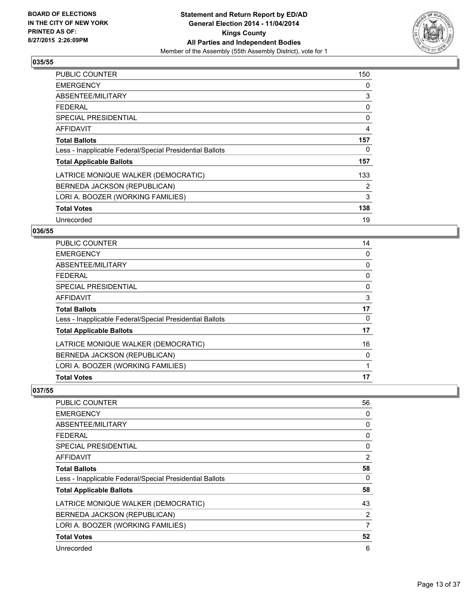

| <b>PUBLIC COUNTER</b>                                    | 150 |
|----------------------------------------------------------|-----|
| <b>EMERGENCY</b>                                         | 0   |
| ABSENTEE/MILITARY                                        | 3   |
| FFDFRAI                                                  | 0   |
| SPECIAL PRESIDENTIAL                                     | 0   |
| <b>AFFIDAVIT</b>                                         | 4   |
| <b>Total Ballots</b>                                     | 157 |
| Less - Inapplicable Federal/Special Presidential Ballots | 0   |
| <b>Total Applicable Ballots</b>                          | 157 |
| LATRICE MONIQUE WALKER (DEMOCRATIC)                      | 133 |
| BERNEDA JACKSON (REPUBLICAN)                             | 2   |
| LORI A. BOOZER (WORKING FAMILIES)                        | 3   |
| <b>Total Votes</b>                                       | 138 |
| Unrecorded                                               | 19  |

# **036/55**

| <b>PUBLIC COUNTER</b>                                    | 14 |
|----------------------------------------------------------|----|
| <b>EMERGENCY</b>                                         | 0  |
| ABSENTEE/MILITARY                                        | 0  |
| <b>FEDERAL</b>                                           | 0  |
| SPECIAL PRESIDENTIAL                                     | 0  |
| <b>AFFIDAVIT</b>                                         | 3  |
| <b>Total Ballots</b>                                     | 17 |
| Less - Inapplicable Federal/Special Presidential Ballots | 0  |
| <b>Total Applicable Ballots</b>                          | 17 |
| LATRICE MONIQUE WALKER (DEMOCRATIC)                      | 16 |
| BERNEDA JACKSON (REPUBLICAN)                             | 0  |
| LORI A. BOOZER (WORKING FAMILIES)                        | 1  |
| <b>Total Votes</b>                                       | 17 |

| PUBLIC COUNTER                                           | 56 |
|----------------------------------------------------------|----|
| <b>EMERGENCY</b>                                         | 0  |
| ABSENTEE/MILITARY                                        | 0  |
| <b>FEDERAL</b>                                           | 0  |
| <b>SPECIAL PRESIDENTIAL</b>                              | 0  |
| <b>AFFIDAVIT</b>                                         | 2  |
| <b>Total Ballots</b>                                     | 58 |
| Less - Inapplicable Federal/Special Presidential Ballots | 0  |
| <b>Total Applicable Ballots</b>                          | 58 |
| LATRICE MONIQUE WALKER (DEMOCRATIC)                      | 43 |
| BERNEDA JACKSON (REPUBLICAN)                             | 2  |
| LORI A. BOOZER (WORKING FAMILIES)                        | 7  |
| <b>Total Votes</b>                                       | 52 |
| Unrecorded                                               | 6  |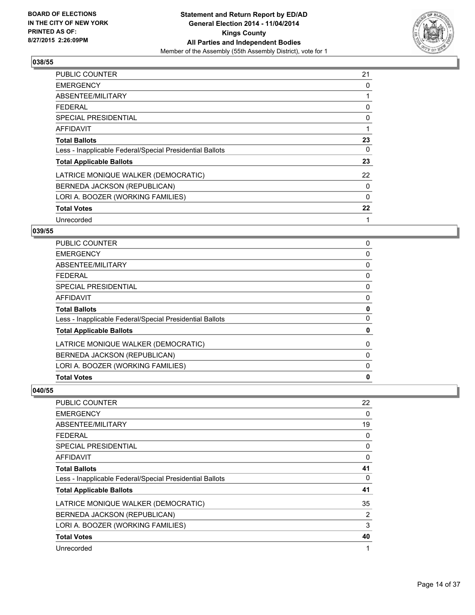

| <b>PUBLIC COUNTER</b>                                    | 21 |
|----------------------------------------------------------|----|
| <b>EMERGENCY</b>                                         | 0  |
| ABSENTEE/MILITARY                                        |    |
| <b>FEDERAL</b>                                           | 0  |
| SPECIAL PRESIDENTIAL                                     | 0  |
| AFFIDAVIT                                                | 1  |
| <b>Total Ballots</b>                                     | 23 |
| Less - Inapplicable Federal/Special Presidential Ballots | 0  |
| <b>Total Applicable Ballots</b>                          | 23 |
| LATRICE MONIQUE WALKER (DEMOCRATIC)                      | 22 |
| BERNEDA JACKSON (REPUBLICAN)                             | 0  |
| LORI A. BOOZER (WORKING FAMILIES)                        | 0  |
| <b>Total Votes</b>                                       | 22 |
| Unrecorded                                               | 1  |

# **039/55**

| <b>Total Votes</b>                                       | 0 |
|----------------------------------------------------------|---|
| LORI A. BOOZER (WORKING FAMILIES)                        | 0 |
| BERNEDA JACKSON (REPUBLICAN)                             | 0 |
| LATRICE MONIQUE WALKER (DEMOCRATIC)                      | 0 |
| <b>Total Applicable Ballots</b>                          | 0 |
| Less - Inapplicable Federal/Special Presidential Ballots | 0 |
| <b>Total Ballots</b>                                     | 0 |
| <b>AFFIDAVIT</b>                                         | 0 |
| <b>SPECIAL PRESIDENTIAL</b>                              | 0 |
| <b>FEDERAL</b>                                           | 0 |
| <b>ABSENTEE/MILITARY</b>                                 | 0 |
| <b>EMERGENCY</b>                                         | 0 |
| <b>PUBLIC COUNTER</b>                                    | 0 |

| <b>PUBLIC COUNTER</b>                                    | 22 |
|----------------------------------------------------------|----|
| <b>EMERGENCY</b>                                         | 0  |
| ABSENTEE/MILITARY                                        | 19 |
| <b>FEDERAL</b>                                           | 0  |
| SPECIAL PRESIDENTIAL                                     | 0  |
| <b>AFFIDAVIT</b>                                         | 0  |
| <b>Total Ballots</b>                                     | 41 |
| Less - Inapplicable Federal/Special Presidential Ballots | 0  |
| <b>Total Applicable Ballots</b>                          | 41 |
| LATRICE MONIQUE WALKER (DEMOCRATIC)                      | 35 |
| BERNEDA JACKSON (REPUBLICAN)                             | 2  |
| LORI A. BOOZER (WORKING FAMILIES)                        | 3  |
| <b>Total Votes</b>                                       | 40 |
| Unrecorded                                               | 1  |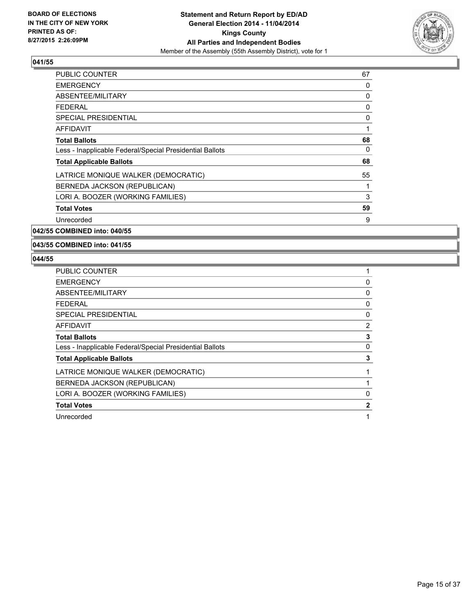

| <b>PUBLIC COUNTER</b>                                    | 67 |
|----------------------------------------------------------|----|
| <b>EMERGENCY</b>                                         | 0  |
| ABSENTEE/MILITARY                                        | 0  |
| <b>FEDERAL</b>                                           | 0  |
| <b>SPECIAL PRESIDENTIAL</b>                              | 0  |
| <b>AFFIDAVIT</b>                                         | 1  |
| <b>Total Ballots</b>                                     | 68 |
| Less - Inapplicable Federal/Special Presidential Ballots | 0  |
| <b>Total Applicable Ballots</b>                          | 68 |
| LATRICE MONIQUE WALKER (DEMOCRATIC)                      | 55 |
| BERNEDA JACKSON (REPUBLICAN)                             | 1  |
| LORI A. BOOZER (WORKING FAMILIES)                        | 3  |
| <b>Total Votes</b>                                       | 59 |
| Unrecorded                                               | 9  |
|                                                          |    |

**042/55 COMBINED into: 040/55**

**043/55 COMBINED into: 041/55**

| <b>PUBLIC COUNTER</b>                                    |              |
|----------------------------------------------------------|--------------|
| <b>EMERGENCY</b>                                         | 0            |
| ABSENTEE/MILITARY                                        | 0            |
| <b>FEDERAL</b>                                           | 0            |
| <b>SPECIAL PRESIDENTIAL</b>                              | 0            |
| AFFIDAVIT                                                | 2            |
| <b>Total Ballots</b>                                     | 3            |
| Less - Inapplicable Federal/Special Presidential Ballots | 0            |
| <b>Total Applicable Ballots</b>                          | 3            |
| LATRICE MONIQUE WALKER (DEMOCRATIC)                      |              |
| BERNEDA JACKSON (REPUBLICAN)                             |              |
| LORI A. BOOZER (WORKING FAMILIES)                        | 0            |
| <b>Total Votes</b>                                       | $\mathbf{2}$ |
| Unrecorded                                               |              |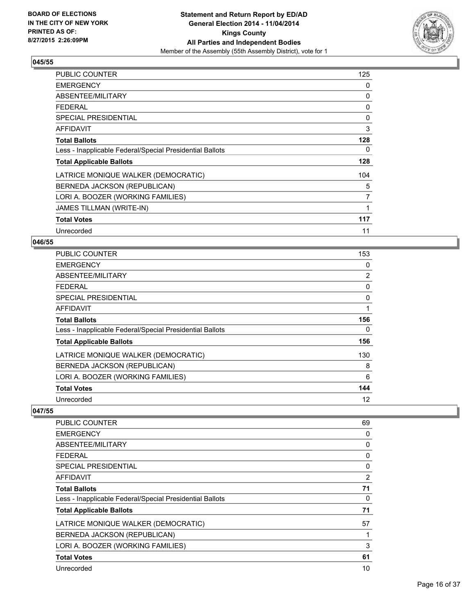

| PUBLIC COUNTER                                           | 125 |
|----------------------------------------------------------|-----|
| <b>EMERGENCY</b>                                         | 0   |
| ABSENTEE/MILITARY                                        | 0   |
| <b>FEDERAL</b>                                           | 0   |
| <b>SPECIAL PRESIDENTIAL</b>                              | 0   |
| AFFIDAVIT                                                | 3   |
| <b>Total Ballots</b>                                     | 128 |
| Less - Inapplicable Federal/Special Presidential Ballots | 0   |
| <b>Total Applicable Ballots</b>                          | 128 |
| LATRICE MONIQUE WALKER (DEMOCRATIC)                      | 104 |
| BERNEDA JACKSON (REPUBLICAN)                             | 5   |
| LORI A. BOOZER (WORKING FAMILIES)                        | 7   |
| <b>JAMES TILLMAN (WRITE-IN)</b>                          | 1   |
| <b>Total Votes</b>                                       | 117 |
| Unrecorded                                               | 11  |

#### **046/55**

| <b>PUBLIC COUNTER</b>                                    | 153            |
|----------------------------------------------------------|----------------|
| <b>EMERGENCY</b>                                         | 0              |
| ABSENTEE/MILITARY                                        | $\overline{2}$ |
| <b>FEDERAL</b>                                           | 0              |
| <b>SPECIAL PRESIDENTIAL</b>                              | 0              |
| <b>AFFIDAVIT</b>                                         | 1              |
| <b>Total Ballots</b>                                     | 156            |
| Less - Inapplicable Federal/Special Presidential Ballots | 0              |
| <b>Total Applicable Ballots</b>                          | 156            |
| LATRICE MONIQUE WALKER (DEMOCRATIC)                      | 130            |
| BERNEDA JACKSON (REPUBLICAN)                             | 8              |
| LORI A. BOOZER (WORKING FAMILIES)                        | 6              |
| <b>Total Votes</b>                                       | 144            |
| Unrecorded                                               | 12             |

| PUBLIC COUNTER                                           | 69 |
|----------------------------------------------------------|----|
| <b>EMERGENCY</b>                                         | 0  |
| ABSENTEE/MILITARY                                        | 0  |
| <b>FEDERAL</b>                                           | 0  |
| <b>SPECIAL PRESIDENTIAL</b>                              | 0  |
| AFFIDAVIT                                                | 2  |
| <b>Total Ballots</b>                                     | 71 |
| Less - Inapplicable Federal/Special Presidential Ballots | 0  |
| <b>Total Applicable Ballots</b>                          | 71 |
| LATRICE MONIQUE WALKER (DEMOCRATIC)                      | 57 |
| BERNEDA JACKSON (REPUBLICAN)                             |    |
| LORI A. BOOZER (WORKING FAMILIES)                        | 3  |
| <b>Total Votes</b>                                       | 61 |
| Unrecorded                                               | 10 |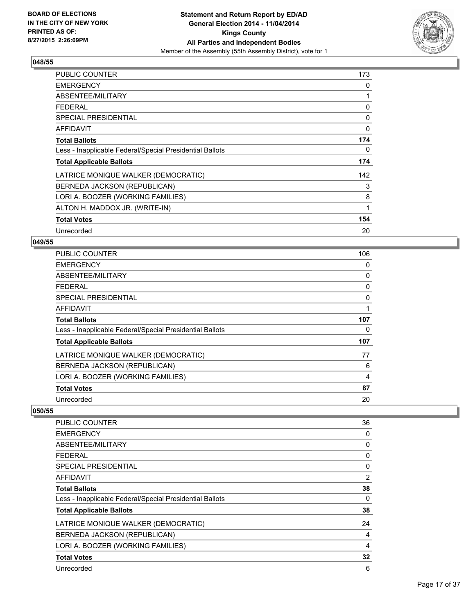

| <b>PUBLIC COUNTER</b>                                    | 173 |
|----------------------------------------------------------|-----|
| <b>EMERGENCY</b>                                         | 0   |
| ABSENTEE/MILITARY                                        | 1   |
| <b>FEDERAL</b>                                           | 0   |
| <b>SPECIAL PRESIDENTIAL</b>                              | 0   |
| AFFIDAVIT                                                | 0   |
| <b>Total Ballots</b>                                     | 174 |
| Less - Inapplicable Federal/Special Presidential Ballots | 0   |
| <b>Total Applicable Ballots</b>                          | 174 |
| LATRICE MONIQUE WALKER (DEMOCRATIC)                      | 142 |
| BERNEDA JACKSON (REPUBLICAN)                             | 3   |
| LORI A. BOOZER (WORKING FAMILIES)                        | 8   |
| ALTON H. MADDOX JR. (WRITE-IN)                           | 1   |
| <b>Total Votes</b>                                       | 154 |
| Unrecorded                                               | 20  |

#### **049/55**

| <b>PUBLIC COUNTER</b>                                    | 106 |
|----------------------------------------------------------|-----|
| <b>EMERGENCY</b>                                         | 0   |
| ABSENTEE/MILITARY                                        | 0   |
| <b>FEDERAL</b>                                           | 0   |
| SPECIAL PRESIDENTIAL                                     | 0   |
| <b>AFFIDAVIT</b>                                         |     |
| <b>Total Ballots</b>                                     | 107 |
| Less - Inapplicable Federal/Special Presidential Ballots | 0   |
| <b>Total Applicable Ballots</b>                          | 107 |
| LATRICE MONIQUE WALKER (DEMOCRATIC)                      | 77  |
| BERNEDA JACKSON (REPUBLICAN)                             | 6   |
| LORI A. BOOZER (WORKING FAMILIES)                        | 4   |
| <b>Total Votes</b>                                       | 87  |
| Unrecorded                                               | 20  |

| PUBLIC COUNTER                                           | 36             |
|----------------------------------------------------------|----------------|
| <b>EMERGENCY</b>                                         | 0              |
| ABSENTEE/MILITARY                                        | 0              |
| <b>FEDERAL</b>                                           | 0              |
| <b>SPECIAL PRESIDENTIAL</b>                              | 0              |
| <b>AFFIDAVIT</b>                                         | $\overline{2}$ |
| <b>Total Ballots</b>                                     | 38             |
| Less - Inapplicable Federal/Special Presidential Ballots | 0              |
| <b>Total Applicable Ballots</b>                          | 38             |
| LATRICE MONIQUE WALKER (DEMOCRATIC)                      | 24             |
| BERNEDA JACKSON (REPUBLICAN)                             | 4              |
| LORI A. BOOZER (WORKING FAMILIES)                        | 4              |
| <b>Total Votes</b>                                       | 32             |
| Unrecorded                                               | 6              |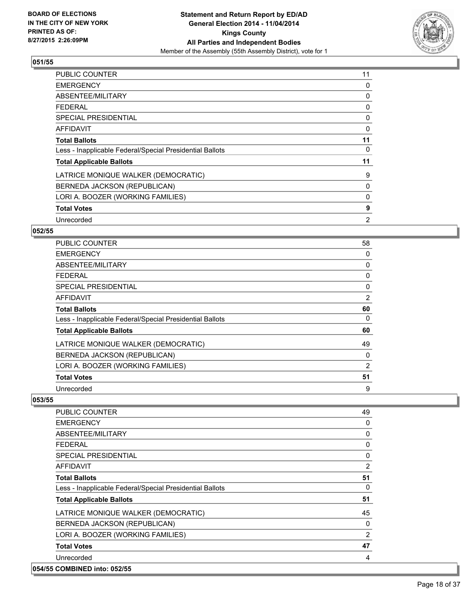

| <b>PUBLIC COUNTER</b>                                    | 11 |
|----------------------------------------------------------|----|
| <b>EMERGENCY</b>                                         | 0  |
| ABSENTEE/MILITARY                                        | 0  |
| <b>FEDERAL</b>                                           | 0  |
| <b>SPECIAL PRESIDENTIAL</b>                              | 0  |
| AFFIDAVIT                                                | 0  |
| <b>Total Ballots</b>                                     | 11 |
| Less - Inapplicable Federal/Special Presidential Ballots | 0  |
| <b>Total Applicable Ballots</b>                          | 11 |
| LATRICE MONIQUE WALKER (DEMOCRATIC)                      | 9  |
| BERNEDA JACKSON (REPUBLICAN)                             | 0  |
| LORI A. BOOZER (WORKING FAMILIES)                        | 0  |
| <b>Total Votes</b>                                       | 9  |
| Unrecorded                                               | 2  |

# **052/55**

| <b>PUBLIC COUNTER</b>                                    | 58 |
|----------------------------------------------------------|----|
| <b>EMERGENCY</b>                                         | 0  |
| ABSENTEE/MILITARY                                        | 0  |
| <b>FEDERAL</b>                                           | 0  |
| SPECIAL PRESIDENTIAL                                     | 0  |
| AFFIDAVIT                                                | 2  |
| <b>Total Ballots</b>                                     | 60 |
| Less - Inapplicable Federal/Special Presidential Ballots | 0  |
| <b>Total Applicable Ballots</b>                          | 60 |
| LATRICE MONIQUE WALKER (DEMOCRATIC)                      | 49 |
| BERNEDA JACKSON (REPUBLICAN)                             | 0  |
| LORI A. BOOZER (WORKING FAMILIES)                        | 2  |
| <b>Total Votes</b>                                       | 51 |
| Unrecorded                                               | 9  |

| <b>PUBLIC COUNTER</b>                                    | 49 |
|----------------------------------------------------------|----|
| <b>EMERGENCY</b>                                         | 0  |
| ABSENTEE/MILITARY                                        | 0  |
| <b>FEDERAL</b>                                           | 0  |
| <b>SPECIAL PRESIDENTIAL</b>                              | 0  |
| AFFIDAVIT                                                | 2  |
| <b>Total Ballots</b>                                     | 51 |
| Less - Inapplicable Federal/Special Presidential Ballots | 0  |
| <b>Total Applicable Ballots</b>                          | 51 |
| LATRICE MONIQUE WALKER (DEMOCRATIC)                      | 45 |
| BERNEDA JACKSON (REPUBLICAN)                             | 0  |
| LORI A. BOOZER (WORKING FAMILIES)                        | 2  |
| <b>Total Votes</b>                                       | 47 |
| Unrecorded                                               | 4  |
| 054/55 COMBINED into: 052/55                             |    |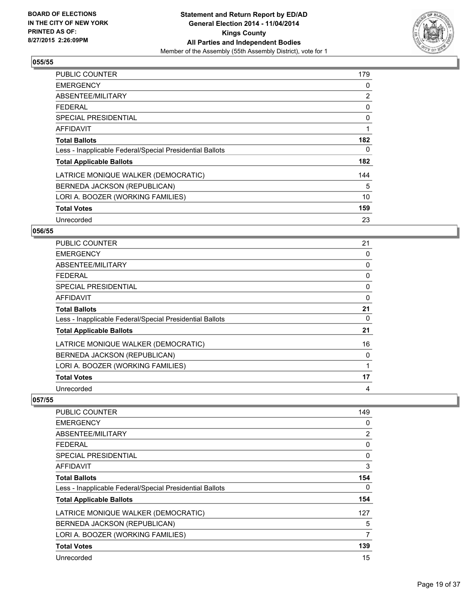

| <b>PUBLIC COUNTER</b>                                    | 179 |
|----------------------------------------------------------|-----|
| <b>EMERGENCY</b>                                         | 0   |
| ABSENTEE/MILITARY                                        | 2   |
| FFDFRAI                                                  | 0   |
| SPECIAL PRESIDENTIAL                                     | 0   |
| <b>AFFIDAVIT</b>                                         | 1   |
| <b>Total Ballots</b>                                     | 182 |
| Less - Inapplicable Federal/Special Presidential Ballots | 0   |
| <b>Total Applicable Ballots</b>                          | 182 |
| LATRICE MONIQUE WALKER (DEMOCRATIC)                      | 144 |
| BERNEDA JACKSON (REPUBLICAN)                             | 5   |
| LORI A. BOOZER (WORKING FAMILIES)                        | 10  |
| <b>Total Votes</b>                                       | 159 |
| Unrecorded                                               | 23  |

# **056/55**

| PUBLIC COUNTER                                           | 21 |
|----------------------------------------------------------|----|
| <b>EMERGENCY</b>                                         | 0  |
| ABSENTEE/MILITARY                                        | 0  |
| <b>FEDERAL</b>                                           | 0  |
| <b>SPECIAL PRESIDENTIAL</b>                              | 0  |
| <b>AFFIDAVIT</b>                                         | 0  |
| <b>Total Ballots</b>                                     | 21 |
| Less - Inapplicable Federal/Special Presidential Ballots | 0  |
| <b>Total Applicable Ballots</b>                          | 21 |
| LATRICE MONIQUE WALKER (DEMOCRATIC)                      | 16 |
| BERNEDA JACKSON (REPUBLICAN)                             | 0  |
| LORI A. BOOZER (WORKING FAMILIES)                        |    |
| <b>Total Votes</b>                                       | 17 |
| Unrecorded                                               | 4  |

| <b>PUBLIC COUNTER</b>                                    | 149 |
|----------------------------------------------------------|-----|
| <b>EMERGENCY</b>                                         | 0   |
| ABSENTEE/MILITARY                                        | 2   |
| <b>FEDERAL</b>                                           | 0   |
| SPECIAL PRESIDENTIAL                                     | 0   |
| AFFIDAVIT                                                | 3   |
| <b>Total Ballots</b>                                     | 154 |
| Less - Inapplicable Federal/Special Presidential Ballots | 0   |
| <b>Total Applicable Ballots</b>                          | 154 |
| LATRICE MONIQUE WALKER (DEMOCRATIC)                      | 127 |
| BERNEDA JACKSON (REPUBLICAN)                             | 5   |
| LORI A. BOOZER (WORKING FAMILIES)                        | 7   |
| <b>Total Votes</b>                                       | 139 |
| Unrecorded                                               | 15  |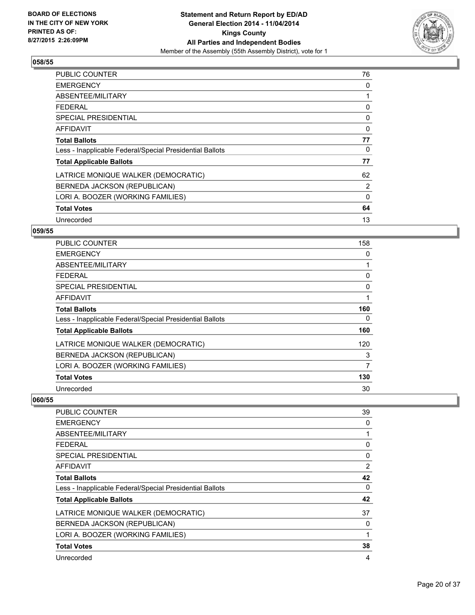

| <b>PUBLIC COUNTER</b>                                    | 76           |
|----------------------------------------------------------|--------------|
| <b>EMERGENCY</b>                                         | 0            |
| ABSENTEE/MILITARY                                        | 1            |
| <b>FEDERAL</b>                                           | 0            |
| SPECIAL PRESIDENTIAL                                     | 0            |
| AFFIDAVIT                                                | $\mathbf{0}$ |
| <b>Total Ballots</b>                                     | 77           |
| Less - Inapplicable Federal/Special Presidential Ballots | 0            |
| <b>Total Applicable Ballots</b>                          | 77           |
| LATRICE MONIQUE WALKER (DEMOCRATIC)                      | 62           |
| BERNEDA JACKSON (REPUBLICAN)                             | 2            |
| LORI A. BOOZER (WORKING FAMILIES)                        | 0            |
| <b>Total Votes</b>                                       | 64           |
| Unrecorded                                               | 13           |

# **059/55**

| <b>PUBLIC COUNTER</b>                                    | 158      |
|----------------------------------------------------------|----------|
| <b>EMERGENCY</b>                                         | 0        |
| ABSENTEE/MILITARY                                        |          |
| <b>FEDERAL</b>                                           | 0        |
| <b>SPECIAL PRESIDENTIAL</b>                              | $\Omega$ |
| <b>AFFIDAVIT</b>                                         |          |
| <b>Total Ballots</b>                                     | 160      |
| Less - Inapplicable Federal/Special Presidential Ballots | 0        |
| <b>Total Applicable Ballots</b>                          | 160      |
| LATRICE MONIQUE WALKER (DEMOCRATIC)                      | 120      |
| BERNEDA JACKSON (REPUBLICAN)                             | 3        |
| LORI A. BOOZER (WORKING FAMILIES)                        | 7        |
| <b>Total Votes</b>                                       | 130      |
| Unrecorded                                               | 30       |

| <b>PUBLIC COUNTER</b>                                    | 39       |
|----------------------------------------------------------|----------|
| <b>EMERGENCY</b>                                         | 0        |
| ABSENTEE/MILITARY                                        |          |
| <b>FEDERAL</b>                                           | 0        |
| <b>SPECIAL PRESIDENTIAL</b>                              | $\Omega$ |
| AFFIDAVIT                                                | 2        |
| <b>Total Ballots</b>                                     | 42       |
| Less - Inapplicable Federal/Special Presidential Ballots | 0        |
| <b>Total Applicable Ballots</b>                          | 42       |
| LATRICE MONIQUE WALKER (DEMOCRATIC)                      | 37       |
| BERNEDA JACKSON (REPUBLICAN)                             | 0        |
| LORI A. BOOZER (WORKING FAMILIES)                        | 1        |
| <b>Total Votes</b>                                       | 38       |
| Unrecorded                                               | 4        |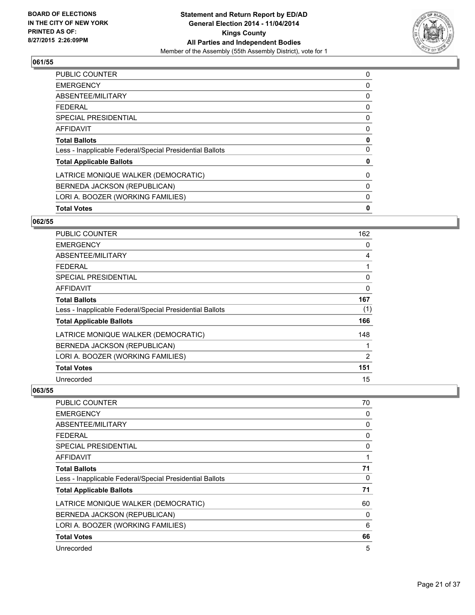

| 0 |
|---|
| 0 |
| 0 |
| 0 |
| 0 |
| 0 |
| 0 |
| 0 |
| 0 |
| 0 |
| 0 |
| 0 |
| 0 |
|   |

## **062/55**

| PUBLIC COUNTER                                           | 162 |
|----------------------------------------------------------|-----|
| <b>EMERGENCY</b>                                         | 0   |
| ABSENTEE/MILITARY                                        | 4   |
| <b>FEDERAL</b>                                           | 1   |
| <b>SPECIAL PRESIDENTIAL</b>                              | 0   |
| <b>AFFIDAVIT</b>                                         | 0   |
| <b>Total Ballots</b>                                     | 167 |
| Less - Inapplicable Federal/Special Presidential Ballots | (1) |
| <b>Total Applicable Ballots</b>                          | 166 |
| LATRICE MONIQUE WALKER (DEMOCRATIC)                      | 148 |
| BERNEDA JACKSON (REPUBLICAN)                             |     |
| LORI A. BOOZER (WORKING FAMILIES)                        | 2   |
| <b>Total Votes</b>                                       | 151 |
| Unrecorded                                               | 15  |

| <b>PUBLIC COUNTER</b>                                    | 70 |
|----------------------------------------------------------|----|
| <b>EMERGENCY</b>                                         | 0  |
| ABSENTEE/MILITARY                                        | 0  |
| <b>FEDERAL</b>                                           | 0  |
| SPECIAL PRESIDENTIAL                                     | 0  |
| AFFIDAVIT                                                |    |
| <b>Total Ballots</b>                                     | 71 |
| Less - Inapplicable Federal/Special Presidential Ballots | 0  |
| <b>Total Applicable Ballots</b>                          | 71 |
| LATRICE MONIQUE WALKER (DEMOCRATIC)                      | 60 |
| BERNEDA JACKSON (REPUBLICAN)                             | 0  |
| LORI A. BOOZER (WORKING FAMILIES)                        | 6  |
| <b>Total Votes</b>                                       | 66 |
| Unrecorded                                               | 5  |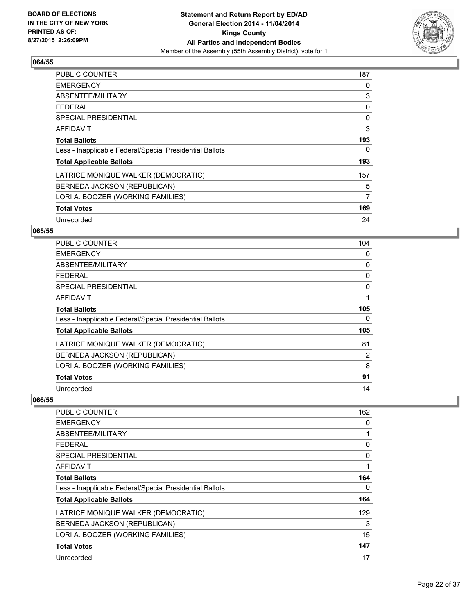

| <b>PUBLIC COUNTER</b>                                    | 187 |
|----------------------------------------------------------|-----|
| <b>EMERGENCY</b>                                         | 0   |
| ABSENTEE/MILITARY                                        | 3   |
| <b>FEDERAL</b>                                           | 0   |
| SPECIAL PRESIDENTIAL                                     | 0   |
| AFFIDAVIT                                                | 3   |
| <b>Total Ballots</b>                                     | 193 |
| Less - Inapplicable Federal/Special Presidential Ballots | 0   |
| <b>Total Applicable Ballots</b>                          | 193 |
| LATRICE MONIQUE WALKER (DEMOCRATIC)                      | 157 |
| BERNEDA JACKSON (REPUBLICAN)                             | 5   |
| LORI A. BOOZER (WORKING FAMILIES)                        | 7   |
| <b>Total Votes</b>                                       | 169 |
| Unrecorded                                               | 24  |

#### **065/55**

| <b>PUBLIC COUNTER</b>                                    | 104      |
|----------------------------------------------------------|----------|
| <b>EMERGENCY</b>                                         | 0        |
| ABSENTEE/MILITARY                                        | 0        |
| <b>FEDERAL</b>                                           | 0        |
| <b>SPECIAL PRESIDENTIAL</b>                              | $\Omega$ |
| <b>AFFIDAVIT</b>                                         |          |
| <b>Total Ballots</b>                                     | 105      |
| Less - Inapplicable Federal/Special Presidential Ballots | 0        |
| <b>Total Applicable Ballots</b>                          | 105      |
| LATRICE MONIQUE WALKER (DEMOCRATIC)                      | 81       |
| BERNEDA JACKSON (REPUBLICAN)                             | 2        |
| LORI A. BOOZER (WORKING FAMILIES)                        | 8        |
| <b>Total Votes</b>                                       | 91       |
| Unrecorded                                               | 14       |

| <b>PUBLIC COUNTER</b>                                    | 162 |
|----------------------------------------------------------|-----|
| <b>EMERGENCY</b>                                         | 0   |
| ABSENTEE/MILITARY                                        | 1   |
| <b>FEDERAL</b>                                           | 0   |
| SPECIAL PRESIDENTIAL                                     | 0   |
| <b>AFFIDAVIT</b>                                         |     |
| <b>Total Ballots</b>                                     | 164 |
| Less - Inapplicable Federal/Special Presidential Ballots | 0   |
| <b>Total Applicable Ballots</b>                          | 164 |
| LATRICE MONIQUE WALKER (DEMOCRATIC)                      | 129 |
| BERNEDA JACKSON (REPUBLICAN)                             | 3   |
| LORI A. BOOZER (WORKING FAMILIES)                        | 15  |
| <b>Total Votes</b>                                       | 147 |
| Unrecorded                                               | 17  |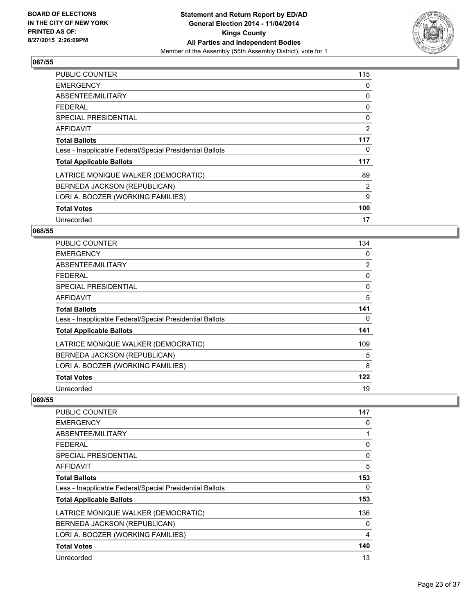

| <b>PUBLIC COUNTER</b>                                    | 115 |
|----------------------------------------------------------|-----|
| <b>EMERGENCY</b>                                         | 0   |
| ABSENTEE/MILITARY                                        | 0   |
| <b>FEDERAL</b>                                           | 0   |
| SPECIAL PRESIDENTIAL                                     | 0   |
| <b>AFFIDAVIT</b>                                         | 2   |
| <b>Total Ballots</b>                                     | 117 |
| Less - Inapplicable Federal/Special Presidential Ballots | 0   |
| <b>Total Applicable Ballots</b>                          | 117 |
| LATRICE MONIQUE WALKER (DEMOCRATIC)                      | 89  |
| BERNEDA JACKSON (REPUBLICAN)                             | 2   |
| LORI A. BOOZER (WORKING FAMILIES)                        | 9   |
| <b>Total Votes</b>                                       | 100 |
| Unrecorded                                               | 17  |

# **068/55**

| PUBLIC COUNTER                                           | 134            |
|----------------------------------------------------------|----------------|
| <b>EMERGENCY</b>                                         | 0              |
| ABSENTEE/MILITARY                                        | $\overline{2}$ |
| <b>FEDERAL</b>                                           | 0              |
| <b>SPECIAL PRESIDENTIAL</b>                              | $\Omega$       |
| <b>AFFIDAVIT</b>                                         | 5              |
| <b>Total Ballots</b>                                     | 141            |
| Less - Inapplicable Federal/Special Presidential Ballots | 0              |
| <b>Total Applicable Ballots</b>                          | 141            |
| LATRICE MONIQUE WALKER (DEMOCRATIC)                      | 109            |
| BERNEDA JACKSON (REPUBLICAN)                             | 5              |
| LORI A. BOOZER (WORKING FAMILIES)                        | 8              |
| <b>Total Votes</b>                                       | 122            |
| Unrecorded                                               | 19             |

| <b>PUBLIC COUNTER</b>                                    | 147 |
|----------------------------------------------------------|-----|
| <b>EMERGENCY</b>                                         | 0   |
| ABSENTEE/MILITARY                                        |     |
| <b>FEDERAL</b>                                           | 0   |
| SPECIAL PRESIDENTIAL                                     | 0   |
| AFFIDAVIT                                                | 5   |
| <b>Total Ballots</b>                                     | 153 |
| Less - Inapplicable Federal/Special Presidential Ballots | 0   |
| <b>Total Applicable Ballots</b>                          | 153 |
| LATRICE MONIQUE WALKER (DEMOCRATIC)                      | 136 |
| BERNEDA JACKSON (REPUBLICAN)                             | 0   |
| LORI A. BOOZER (WORKING FAMILIES)                        | 4   |
| <b>Total Votes</b>                                       | 140 |
| Unrecorded                                               | 13  |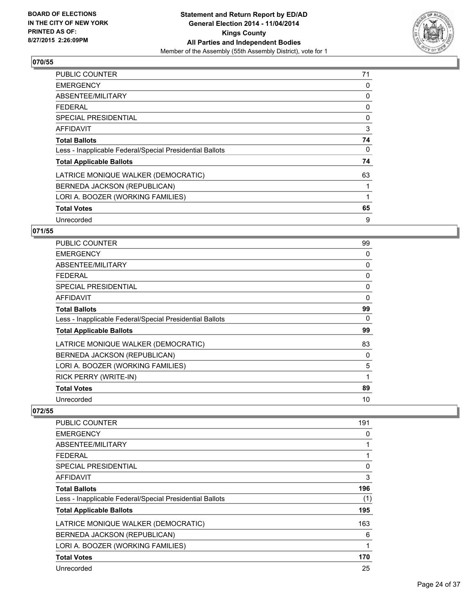

| <b>PUBLIC COUNTER</b>                                    | 71 |
|----------------------------------------------------------|----|
| <b>EMERGENCY</b>                                         | 0  |
| ABSENTEE/MILITARY                                        | 0  |
| <b>FEDERAL</b>                                           | 0  |
| SPECIAL PRESIDENTIAL                                     | 0  |
| <b>AFFIDAVIT</b>                                         | 3  |
| <b>Total Ballots</b>                                     | 74 |
| Less - Inapplicable Federal/Special Presidential Ballots | 0  |
| <b>Total Applicable Ballots</b>                          | 74 |
| LATRICE MONIQUE WALKER (DEMOCRATIC)                      | 63 |
| BERNEDA JACKSON (REPUBLICAN)                             | 1  |
| LORI A. BOOZER (WORKING FAMILIES)                        |    |
| <b>Total Votes</b>                                       | 65 |
| Unrecorded                                               | 9  |

# **071/55**

| PUBLIC COUNTER                                           | 99 |
|----------------------------------------------------------|----|
| <b>EMERGENCY</b>                                         | 0  |
| ABSENTEE/MILITARY                                        | 0  |
| <b>FEDERAL</b>                                           | 0  |
| <b>SPECIAL PRESIDENTIAL</b>                              | 0  |
| AFFIDAVIT                                                | 0  |
| <b>Total Ballots</b>                                     | 99 |
| Less - Inapplicable Federal/Special Presidential Ballots | 0  |
| <b>Total Applicable Ballots</b>                          | 99 |
| LATRICE MONIQUE WALKER (DEMOCRATIC)                      | 83 |
| BERNEDA JACKSON (REPUBLICAN)                             | 0  |
| LORI A. BOOZER (WORKING FAMILIES)                        | 5  |
| RICK PERRY (WRITE-IN)                                    | 1  |
| <b>Total Votes</b>                                       | 89 |
| Unrecorded                                               | 10 |

| PUBLIC COUNTER                                           | 191 |
|----------------------------------------------------------|-----|
| <b>EMERGENCY</b>                                         | 0   |
| ABSENTEE/MILITARY                                        | 1   |
| <b>FEDERAL</b>                                           | 1   |
| SPECIAL PRESIDENTIAL                                     | 0   |
| AFFIDAVIT                                                | 3   |
| <b>Total Ballots</b>                                     | 196 |
| Less - Inapplicable Federal/Special Presidential Ballots | (1) |
| <b>Total Applicable Ballots</b>                          | 195 |
| LATRICE MONIQUE WALKER (DEMOCRATIC)                      | 163 |
| BERNEDA JACKSON (REPUBLICAN)                             | 6   |
| LORI A. BOOZER (WORKING FAMILIES)                        | 1   |
| <b>Total Votes</b>                                       | 170 |
| Unrecorded                                               | 25  |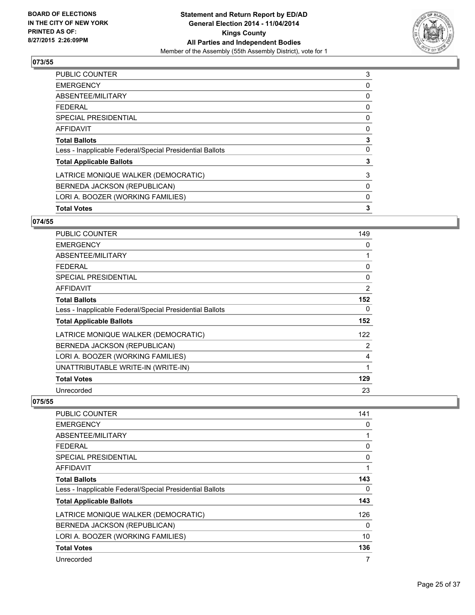

| 3 |
|---|
| 0 |
| 0 |
| 0 |
| 0 |
| 0 |
| 3 |
| 0 |
| 3 |
| 3 |
| 0 |
| 0 |
| 3 |
|   |

# **074/55**

| <b>PUBLIC COUNTER</b>                                    | 149            |
|----------------------------------------------------------|----------------|
| <b>EMERGENCY</b>                                         | 0              |
| ABSENTEE/MILITARY                                        | 1              |
| <b>FEDERAL</b>                                           | 0              |
| <b>SPECIAL PRESIDENTIAL</b>                              | 0              |
| <b>AFFIDAVIT</b>                                         | $\overline{2}$ |
| <b>Total Ballots</b>                                     | 152            |
| Less - Inapplicable Federal/Special Presidential Ballots | 0              |
| <b>Total Applicable Ballots</b>                          | 152            |
| LATRICE MONIQUE WALKER (DEMOCRATIC)                      | 122            |
| BERNEDA JACKSON (REPUBLICAN)                             | 2              |
| LORI A. BOOZER (WORKING FAMILIES)                        | 4              |
| UNATTRIBUTABLE WRITE-IN (WRITE-IN)                       | 1              |
| <b>Total Votes</b>                                       | 129            |
| Unrecorded                                               | 23             |

| PUBLIC COUNTER                                           | 141 |
|----------------------------------------------------------|-----|
| <b>EMERGENCY</b>                                         | 0   |
| ABSENTEE/MILITARY                                        | 1   |
| <b>FEDERAL</b>                                           | 0   |
| SPECIAL PRESIDENTIAL                                     | 0   |
| AFFIDAVIT                                                | 1   |
| <b>Total Ballots</b>                                     | 143 |
| Less - Inapplicable Federal/Special Presidential Ballots | 0   |
| <b>Total Applicable Ballots</b>                          | 143 |
| LATRICE MONIQUE WALKER (DEMOCRATIC)                      | 126 |
| BERNEDA JACKSON (REPUBLICAN)                             | 0   |
| LORI A. BOOZER (WORKING FAMILIES)                        | 10  |
| <b>Total Votes</b>                                       | 136 |
| Unrecorded                                               | 7   |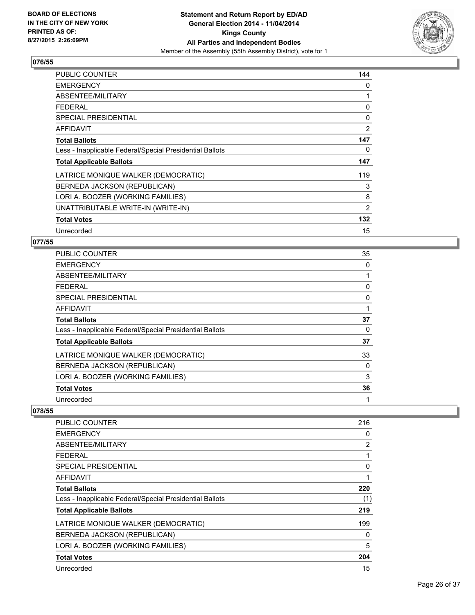

| <b>PUBLIC COUNTER</b>                                    | 144 |
|----------------------------------------------------------|-----|
| <b>EMERGENCY</b>                                         | 0   |
| ABSENTEE/MILITARY                                        | 1   |
| <b>FEDERAL</b>                                           | 0   |
| <b>SPECIAL PRESIDENTIAL</b>                              | 0   |
| <b>AFFIDAVIT</b>                                         | 2   |
| <b>Total Ballots</b>                                     | 147 |
| Less - Inapplicable Federal/Special Presidential Ballots | 0   |
| <b>Total Applicable Ballots</b>                          | 147 |
| LATRICE MONIQUE WALKER (DEMOCRATIC)                      | 119 |
| BERNEDA JACKSON (REPUBLICAN)                             | 3   |
| LORI A. BOOZER (WORKING FAMILIES)                        | 8   |
| UNATTRIBUTABLE WRITE-IN (WRITE-IN)                       | 2   |
| <b>Total Votes</b>                                       | 132 |
| Unrecorded                                               | 15  |

#### **077/55**

| <b>PUBLIC COUNTER</b>                                    | 35 |
|----------------------------------------------------------|----|
| <b>EMERGENCY</b>                                         | 0  |
| ABSENTEE/MILITARY                                        |    |
| <b>FEDERAL</b>                                           | 0  |
| <b>SPECIAL PRESIDENTIAL</b>                              | 0  |
| <b>AFFIDAVIT</b>                                         |    |
| <b>Total Ballots</b>                                     | 37 |
| Less - Inapplicable Federal/Special Presidential Ballots | 0  |
| <b>Total Applicable Ballots</b>                          | 37 |
| LATRICE MONIQUE WALKER (DEMOCRATIC)                      | 33 |
| BERNEDA JACKSON (REPUBLICAN)                             | 0  |
| LORI A. BOOZER (WORKING FAMILIES)                        | 3  |
| <b>Total Votes</b>                                       | 36 |
| Unrecorded                                               |    |

| PUBLIC COUNTER                                           | 216 |
|----------------------------------------------------------|-----|
| <b>EMERGENCY</b>                                         | 0   |
| ABSENTEE/MILITARY                                        | 2   |
| <b>FEDERAL</b>                                           | 1   |
| <b>SPECIAL PRESIDENTIAL</b>                              | 0   |
| AFFIDAVIT                                                |     |
| <b>Total Ballots</b>                                     | 220 |
| Less - Inapplicable Federal/Special Presidential Ballots | (1) |
| <b>Total Applicable Ballots</b>                          | 219 |
| LATRICE MONIQUE WALKER (DEMOCRATIC)                      | 199 |
| BERNEDA JACKSON (REPUBLICAN)                             | 0   |
| LORI A. BOOZER (WORKING FAMILIES)                        | 5   |
| <b>Total Votes</b>                                       | 204 |
| Unrecorded                                               | 15  |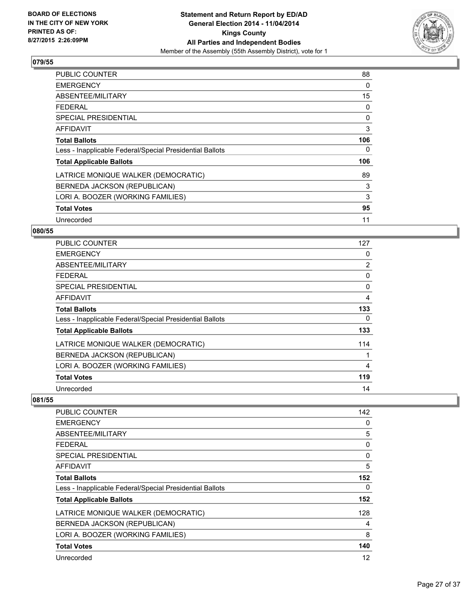

| <b>PUBLIC COUNTER</b>                                    | 88  |
|----------------------------------------------------------|-----|
| <b>EMERGENCY</b>                                         | 0   |
| ABSENTEE/MILITARY                                        | 15  |
| <b>FEDERAL</b>                                           | 0   |
| SPECIAL PRESIDENTIAL                                     | 0   |
| <b>AFFIDAVIT</b>                                         | 3   |
| <b>Total Ballots</b>                                     | 106 |
| Less - Inapplicable Federal/Special Presidential Ballots | 0   |
| <b>Total Applicable Ballots</b>                          | 106 |
| LATRICE MONIQUE WALKER (DEMOCRATIC)                      | 89  |
| BERNEDA JACKSON (REPUBLICAN)                             | 3   |
| LORI A. BOOZER (WORKING FAMILIES)                        | 3   |
| <b>Total Votes</b>                                       | 95  |
| Unrecorded                                               | 11  |

# **080/55**

| <b>PUBLIC COUNTER</b>                                    | 127            |
|----------------------------------------------------------|----------------|
| <b>EMERGENCY</b>                                         | 0              |
| ABSENTEE/MILITARY                                        | $\overline{2}$ |
| <b>FEDERAL</b>                                           | 0              |
| <b>SPECIAL PRESIDENTIAL</b>                              | $\Omega$       |
| <b>AFFIDAVIT</b>                                         | 4              |
| <b>Total Ballots</b>                                     | 133            |
| Less - Inapplicable Federal/Special Presidential Ballots | 0              |
| <b>Total Applicable Ballots</b>                          | 133            |
| LATRICE MONIQUE WALKER (DEMOCRATIC)                      | 114            |
| BERNEDA JACKSON (REPUBLICAN)                             |                |
| LORI A. BOOZER (WORKING FAMILIES)                        | 4              |
| <b>Total Votes</b>                                       | 119            |
| Unrecorded                                               | 14             |

| <b>PUBLIC COUNTER</b>                                    | 142      |
|----------------------------------------------------------|----------|
| <b>EMERGENCY</b>                                         | 0        |
| ABSENTEE/MILITARY                                        | 5        |
| <b>FEDERAL</b>                                           | 0        |
| SPECIAL PRESIDENTIAL                                     | $\Omega$ |
| AFFIDAVIT                                                | 5        |
| <b>Total Ballots</b>                                     | 152      |
| Less - Inapplicable Federal/Special Presidential Ballots | 0        |
| <b>Total Applicable Ballots</b>                          | 152      |
| LATRICE MONIQUE WALKER (DEMOCRATIC)                      | 128      |
| BERNEDA JACKSON (REPUBLICAN)                             | 4        |
| LORI A. BOOZER (WORKING FAMILIES)                        | 8        |
| <b>Total Votes</b>                                       | 140      |
| Unrecorded                                               | 12       |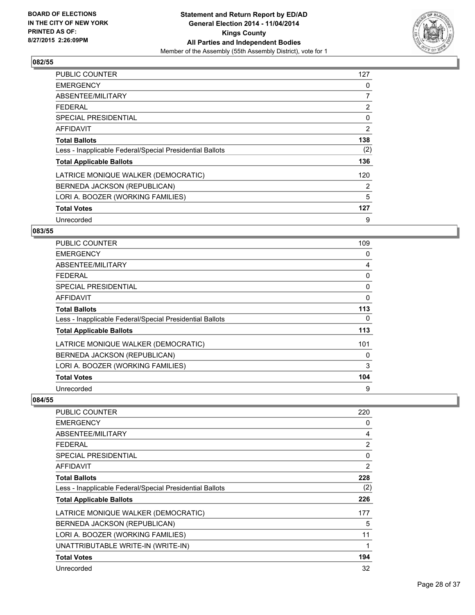

| <b>PUBLIC COUNTER</b>                                    | 127 |
|----------------------------------------------------------|-----|
| <b>EMERGENCY</b>                                         | 0   |
| ABSENTEE/MILITARY                                        | 7   |
| FFDFRAI                                                  | 2   |
| SPECIAL PRESIDENTIAL                                     | 0   |
| <b>AFFIDAVIT</b>                                         | 2   |
| <b>Total Ballots</b>                                     | 138 |
| Less - Inapplicable Federal/Special Presidential Ballots | (2) |
| <b>Total Applicable Ballots</b>                          | 136 |
| LATRICE MONIQUE WALKER (DEMOCRATIC)                      | 120 |
| BERNEDA JACKSON (REPUBLICAN)                             | 2   |
| LORI A. BOOZER (WORKING FAMILIES)                        | 5   |
| <b>Total Votes</b>                                       | 127 |
| Unrecorded                                               | 9   |

# **083/55**

| <b>PUBLIC COUNTER</b>                                    | 109 |
|----------------------------------------------------------|-----|
| <b>EMERGENCY</b>                                         | 0   |
| ABSENTEE/MILITARY                                        | 4   |
| <b>FEDERAL</b>                                           | 0   |
| <b>SPECIAL PRESIDENTIAL</b>                              | 0   |
| AFFIDAVIT                                                | 0   |
| <b>Total Ballots</b>                                     | 113 |
| Less - Inapplicable Federal/Special Presidential Ballots | 0   |
| <b>Total Applicable Ballots</b>                          | 113 |
| LATRICE MONIQUE WALKER (DEMOCRATIC)                      | 101 |
| BERNEDA JACKSON (REPUBLICAN)                             | 0   |
| LORI A. BOOZER (WORKING FAMILIES)                        | 3   |
| <b>Total Votes</b>                                       | 104 |
| Unrecorded                                               | 9   |

| PUBLIC COUNTER                                           | 220 |
|----------------------------------------------------------|-----|
| <b>EMERGENCY</b>                                         | 0   |
| ABSENTEE/MILITARY                                        | 4   |
| <b>FEDERAL</b>                                           | 2   |
| <b>SPECIAL PRESIDENTIAL</b>                              | 0   |
| AFFIDAVIT                                                | 2   |
| <b>Total Ballots</b>                                     | 228 |
| Less - Inapplicable Federal/Special Presidential Ballots | (2) |
| <b>Total Applicable Ballots</b>                          | 226 |
| LATRICE MONIQUE WALKER (DEMOCRATIC)                      | 177 |
| BERNEDA JACKSON (REPUBLICAN)                             | 5   |
| LORI A. BOOZER (WORKING FAMILIES)                        | 11  |
| UNATTRIBUTABLE WRITE-IN (WRITE-IN)                       | 1   |
| <b>Total Votes</b>                                       | 194 |
| Unrecorded                                               | 32  |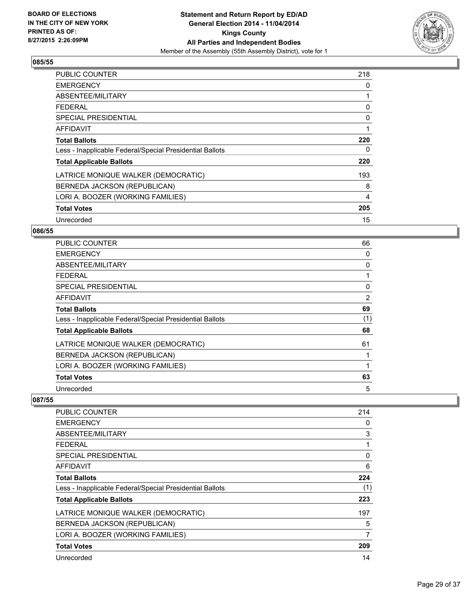

| <b>PUBLIC COUNTER</b>                                    | 218            |
|----------------------------------------------------------|----------------|
| <b>EMERGENCY</b>                                         | 0              |
| ABSENTEE/MILITARY                                        | 1              |
| <b>FEDERAL</b>                                           | 0              |
| <b>SPECIAL PRESIDENTIAL</b>                              | 0              |
| <b>AFFIDAVIT</b>                                         | 1              |
| <b>Total Ballots</b>                                     | 220            |
| Less - Inapplicable Federal/Special Presidential Ballots | 0              |
| <b>Total Applicable Ballots</b>                          | 220            |
| LATRICE MONIQUE WALKER (DEMOCRATIC)                      | 193            |
| BERNEDA JACKSON (REPUBLICAN)                             | 8              |
| LORI A. BOOZER (WORKING FAMILIES)                        | $\overline{4}$ |
| <b>Total Votes</b>                                       | 205            |
| Unrecorded                                               | 15             |

# **086/55**

| PUBLIC COUNTER                                           | 66  |
|----------------------------------------------------------|-----|
| <b>EMERGENCY</b>                                         | 0   |
| ABSENTEE/MILITARY                                        | 0   |
| <b>FEDERAL</b>                                           |     |
| <b>SPECIAL PRESIDENTIAL</b>                              | 0   |
| AFFIDAVIT                                                | 2   |
| <b>Total Ballots</b>                                     | 69  |
| Less - Inapplicable Federal/Special Presidential Ballots | (1) |
| <b>Total Applicable Ballots</b>                          | 68  |
| LATRICE MONIQUE WALKER (DEMOCRATIC)                      | 61  |
| BERNEDA JACKSON (REPUBLICAN)                             |     |
| LORI A. BOOZER (WORKING FAMILIES)                        |     |
| <b>Total Votes</b>                                       | 63  |
| Unrecorded                                               | 5   |

| <b>PUBLIC COUNTER</b>                                    | 214 |
|----------------------------------------------------------|-----|
| <b>EMERGENCY</b>                                         | 0   |
| ABSENTEE/MILITARY                                        | 3   |
| FEDERAL                                                  | 1   |
| SPECIAL PRESIDENTIAL                                     | 0   |
| AFFIDAVIT                                                | 6   |
| <b>Total Ballots</b>                                     | 224 |
| Less - Inapplicable Federal/Special Presidential Ballots | (1) |
| <b>Total Applicable Ballots</b>                          | 223 |
| LATRICE MONIQUE WALKER (DEMOCRATIC)                      | 197 |
| BERNEDA JACKSON (REPUBLICAN)                             | 5   |
| LORI A. BOOZER (WORKING FAMILIES)                        | 7   |
| <b>Total Votes</b>                                       | 209 |
| Unrecorded                                               | 14  |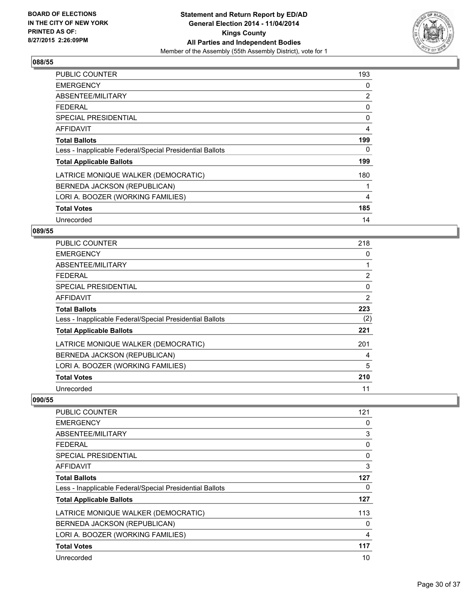

| PUBLIC COUNTER                                           | 193            |
|----------------------------------------------------------|----------------|
| <b>EMERGENCY</b>                                         | 0              |
| ABSENTEE/MILITARY                                        | 2              |
| FFDFRAL                                                  | 0              |
| <b>SPECIAL PRESIDENTIAL</b>                              | 0              |
| <b>AFFIDAVIT</b>                                         | $\overline{4}$ |
| <b>Total Ballots</b>                                     | 199            |
| Less - Inapplicable Federal/Special Presidential Ballots | 0              |
| <b>Total Applicable Ballots</b>                          | 199            |
| LATRICE MONIQUE WALKER (DEMOCRATIC)                      | 180            |
| BERNEDA JACKSON (REPUBLICAN)                             |                |
| LORI A. BOOZER (WORKING FAMILIES)                        | 4              |
| <b>Total Votes</b>                                       | 185            |
| Unrecorded                                               | 14             |

# **089/55**

| <b>PUBLIC COUNTER</b>                                    | 218            |
|----------------------------------------------------------|----------------|
| <b>EMERGENCY</b>                                         | 0              |
| ABSENTEE/MILITARY                                        | 1              |
| <b>FEDERAL</b>                                           | $\overline{2}$ |
| <b>SPECIAL PRESIDENTIAL</b>                              | 0              |
| AFFIDAVIT                                                | 2              |
| <b>Total Ballots</b>                                     | 223            |
| Less - Inapplicable Federal/Special Presidential Ballots | (2)            |
| <b>Total Applicable Ballots</b>                          | 221            |
| LATRICE MONIQUE WALKER (DEMOCRATIC)                      | 201            |
| BERNEDA JACKSON (REPUBLICAN)                             | 4              |
| LORI A. BOOZER (WORKING FAMILIES)                        | 5              |
| <b>Total Votes</b>                                       | 210            |
| Unrecorded                                               | 11             |

| <b>PUBLIC COUNTER</b>                                    | 121            |
|----------------------------------------------------------|----------------|
| <b>EMERGENCY</b>                                         | 0              |
| ABSENTEE/MILITARY                                        | 3              |
| <b>FEDERAL</b>                                           | 0              |
| SPECIAL PRESIDENTIAL                                     | $\Omega$       |
| <b>AFFIDAVIT</b>                                         | 3              |
| <b>Total Ballots</b>                                     | 127            |
| Less - Inapplicable Federal/Special Presidential Ballots | 0              |
| <b>Total Applicable Ballots</b>                          | 127            |
| LATRICE MONIQUE WALKER (DEMOCRATIC)                      | 113            |
| BERNEDA JACKSON (REPUBLICAN)                             | 0              |
| LORI A. BOOZER (WORKING FAMILIES)                        | $\overline{4}$ |
| <b>Total Votes</b>                                       | 117            |
| Unrecorded                                               | 10             |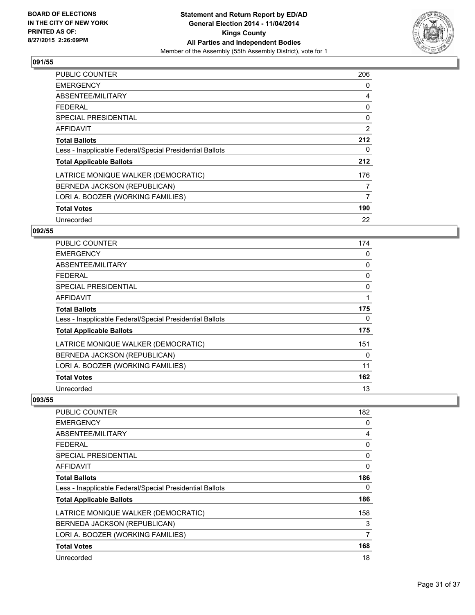

| <b>PUBLIC COUNTER</b>                                    | 206 |
|----------------------------------------------------------|-----|
| <b>EMERGENCY</b>                                         | 0   |
| ABSENTEE/MILITARY                                        | 4   |
| FFDFRAI                                                  | 0   |
| SPECIAL PRESIDENTIAL                                     | 0   |
| <b>AFFIDAVIT</b>                                         | 2   |
| <b>Total Ballots</b>                                     | 212 |
| Less - Inapplicable Federal/Special Presidential Ballots | 0   |
| <b>Total Applicable Ballots</b>                          | 212 |
| LATRICE MONIQUE WALKER (DEMOCRATIC)                      | 176 |
| BERNEDA JACKSON (REPUBLICAN)                             | 7   |
| LORI A. BOOZER (WORKING FAMILIES)                        | 7   |
| <b>Total Votes</b>                                       | 190 |
| Unrecorded                                               | 22  |

# **092/55**

| <b>PUBLIC COUNTER</b>                                    | 174 |
|----------------------------------------------------------|-----|
| <b>EMERGENCY</b>                                         | 0   |
| ABSENTEE/MILITARY                                        | 0   |
| <b>FEDERAL</b>                                           | 0   |
| <b>SPECIAL PRESIDENTIAL</b>                              | 0   |
| <b>AFFIDAVIT</b>                                         | 1   |
| <b>Total Ballots</b>                                     | 175 |
| Less - Inapplicable Federal/Special Presidential Ballots | 0   |
| <b>Total Applicable Ballots</b>                          | 175 |
| LATRICE MONIQUE WALKER (DEMOCRATIC)                      | 151 |
| BERNEDA JACKSON (REPUBLICAN)                             | 0   |
| LORI A. BOOZER (WORKING FAMILIES)                        | 11  |
| <b>Total Votes</b>                                       | 162 |
| Unrecorded                                               | 13  |

| <b>PUBLIC COUNTER</b>                                    | 182 |
|----------------------------------------------------------|-----|
| <b>EMERGENCY</b>                                         | 0   |
| ABSENTEE/MILITARY                                        | 4   |
| <b>FEDERAL</b>                                           | 0   |
| SPECIAL PRESIDENTIAL                                     | 0   |
| AFFIDAVIT                                                | 0   |
| <b>Total Ballots</b>                                     | 186 |
| Less - Inapplicable Federal/Special Presidential Ballots | 0   |
| <b>Total Applicable Ballots</b>                          | 186 |
| LATRICE MONIQUE WALKER (DEMOCRATIC)                      | 158 |
| BERNEDA JACKSON (REPUBLICAN)                             | 3   |
| LORI A. BOOZER (WORKING FAMILIES)                        | 7   |
| <b>Total Votes</b>                                       | 168 |
| Unrecorded                                               | 18  |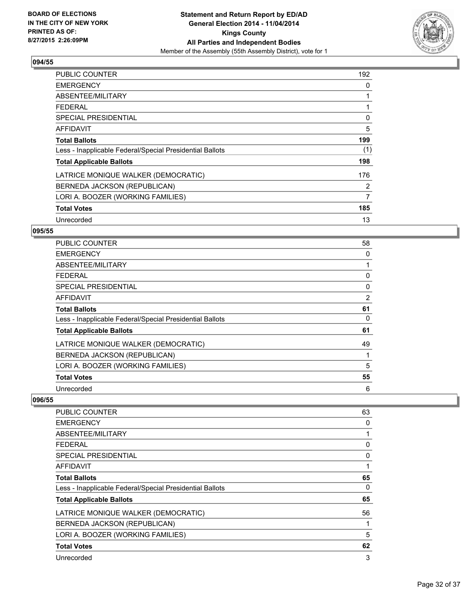

| <b>PUBLIC COUNTER</b>                                    | 192 |
|----------------------------------------------------------|-----|
| <b>EMERGENCY</b>                                         | 0   |
| ABSENTEE/MILITARY                                        | 1   |
| <b>FEDERAL</b>                                           | 1   |
| SPECIAL PRESIDENTIAL                                     | 0   |
| AFFIDAVIT                                                | 5   |
| <b>Total Ballots</b>                                     | 199 |
| Less - Inapplicable Federal/Special Presidential Ballots | (1) |
| <b>Total Applicable Ballots</b>                          | 198 |
| LATRICE MONIQUE WALKER (DEMOCRATIC)                      | 176 |
| BERNEDA JACKSON (REPUBLICAN)                             | 2   |
| LORI A. BOOZER (WORKING FAMILIES)                        | 7   |
| <b>Total Votes</b>                                       | 185 |
| Unrecorded                                               | 13  |

#### **095/55**

| <b>PUBLIC COUNTER</b>                                    | 58 |
|----------------------------------------------------------|----|
| <b>EMERGENCY</b>                                         | 0  |
| ABSENTEE/MILITARY                                        |    |
| <b>FEDERAL</b>                                           | 0  |
| <b>SPECIAL PRESIDENTIAL</b>                              | 0  |
| AFFIDAVIT                                                | 2  |
| <b>Total Ballots</b>                                     | 61 |
| Less - Inapplicable Federal/Special Presidential Ballots | 0  |
| <b>Total Applicable Ballots</b>                          | 61 |
| LATRICE MONIQUE WALKER (DEMOCRATIC)                      | 49 |
| BERNEDA JACKSON (REPUBLICAN)                             |    |
| LORI A. BOOZER (WORKING FAMILIES)                        | 5  |
| <b>Total Votes</b>                                       | 55 |
| Unrecorded                                               | 6  |

| <b>PUBLIC COUNTER</b>                                    | 63 |
|----------------------------------------------------------|----|
| <b>EMERGENCY</b>                                         | 0  |
| ABSENTEE/MILITARY                                        |    |
| <b>FEDERAL</b>                                           | 0  |
| <b>SPECIAL PRESIDENTIAL</b>                              | 0  |
| AFFIDAVIT                                                |    |
| <b>Total Ballots</b>                                     | 65 |
| Less - Inapplicable Federal/Special Presidential Ballots | 0  |
| <b>Total Applicable Ballots</b>                          | 65 |
| LATRICE MONIQUE WALKER (DEMOCRATIC)                      | 56 |
| BERNEDA JACKSON (REPUBLICAN)                             |    |
| LORI A. BOOZER (WORKING FAMILIES)                        | 5  |
| <b>Total Votes</b>                                       | 62 |
| Unrecorded                                               | 3  |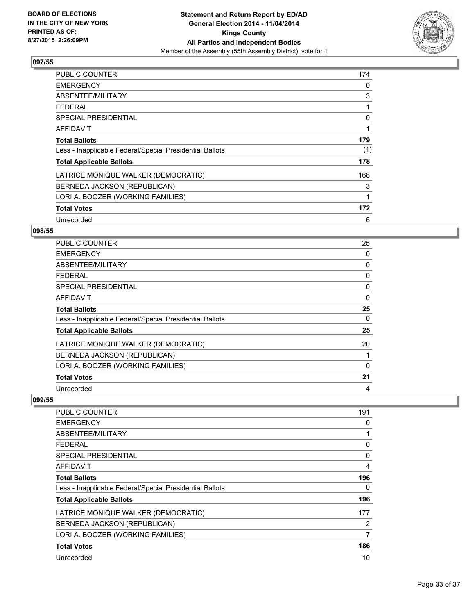

| PUBLIC COUNTER                                           | 174 |
|----------------------------------------------------------|-----|
| <b>EMERGENCY</b>                                         | 0   |
| ABSENTEE/MILITARY                                        | 3   |
| <b>FEDERAL</b>                                           | 1   |
| <b>SPECIAL PRESIDENTIAL</b>                              | 0   |
| AFFIDAVIT                                                | 1   |
| <b>Total Ballots</b>                                     | 179 |
| Less - Inapplicable Federal/Special Presidential Ballots | (1) |
| <b>Total Applicable Ballots</b>                          | 178 |
| LATRICE MONIQUE WALKER (DEMOCRATIC)                      | 168 |
| BERNEDA JACKSON (REPUBLICAN)                             | 3   |
| LORI A. BOOZER (WORKING FAMILIES)                        | 1   |
| <b>Total Votes</b>                                       | 172 |
| Unrecorded                                               | 6   |

#### **098/55**

| PUBLIC COUNTER                                           | 25       |
|----------------------------------------------------------|----------|
| <b>EMERGENCY</b>                                         | 0        |
| ABSENTEE/MILITARY                                        | 0        |
| <b>FEDERAL</b>                                           | 0        |
| <b>SPECIAL PRESIDENTIAL</b>                              | $\Omega$ |
| <b>AFFIDAVIT</b>                                         | 0        |
| <b>Total Ballots</b>                                     | 25       |
| Less - Inapplicable Federal/Special Presidential Ballots | 0        |
| <b>Total Applicable Ballots</b>                          | 25       |
| LATRICE MONIQUE WALKER (DEMOCRATIC)                      | 20       |
| BERNEDA JACKSON (REPUBLICAN)                             |          |
| LORI A. BOOZER (WORKING FAMILIES)                        | 0        |
| <b>Total Votes</b>                                       | 21       |
| Unrecorded                                               | 4        |

| PUBLIC COUNTER                                           | 191      |
|----------------------------------------------------------|----------|
| <b>EMERGENCY</b>                                         | 0        |
| ABSENTEE/MILITARY                                        |          |
| <b>FEDERAL</b>                                           | 0        |
| SPECIAL PRESIDENTIAL                                     | $\Omega$ |
| <b>AFFIDAVIT</b>                                         | 4        |
| <b>Total Ballots</b>                                     | 196      |
| Less - Inapplicable Federal/Special Presidential Ballots | 0        |
| <b>Total Applicable Ballots</b>                          | 196      |
| LATRICE MONIQUE WALKER (DEMOCRATIC)                      | 177      |
| BERNEDA JACKSON (REPUBLICAN)                             | 2        |
| LORI A. BOOZER (WORKING FAMILIES)                        | 7        |
| <b>Total Votes</b>                                       | 186      |
| Unrecorded                                               | 10       |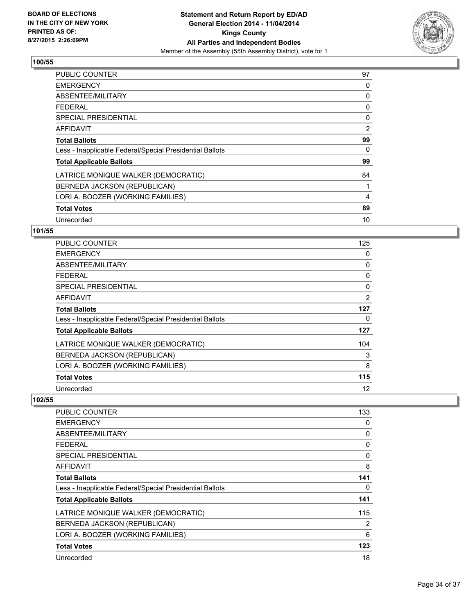

| <b>PUBLIC COUNTER</b>                                    | 97 |
|----------------------------------------------------------|----|
| <b>EMERGENCY</b>                                         | 0  |
| ABSENTEE/MILITARY                                        | 0  |
| FEDERAL                                                  | 0  |
| SPECIAL PRESIDENTIAL                                     | 0  |
| AFFIDAVIT                                                | 2  |
| <b>Total Ballots</b>                                     | 99 |
| Less - Inapplicable Federal/Special Presidential Ballots | 0  |
| <b>Total Applicable Ballots</b>                          | 99 |
| LATRICE MONIQUE WALKER (DEMOCRATIC)                      | 84 |
| BERNEDA JACKSON (REPUBLICAN)                             | 1  |
| LORI A. BOOZER (WORKING FAMILIES)                        | 4  |
| <b>Total Votes</b>                                       | 89 |
| Unrecorded                                               | 10 |

# **101/55**

| PUBLIC COUNTER                                           | 125 |
|----------------------------------------------------------|-----|
| <b>EMERGENCY</b>                                         | 0   |
| ABSENTEE/MILITARY                                        | 0   |
| <b>FEDERAL</b>                                           | 0   |
| <b>SPECIAL PRESIDENTIAL</b>                              | 0   |
| <b>AFFIDAVIT</b>                                         | 2   |
| <b>Total Ballots</b>                                     | 127 |
| Less - Inapplicable Federal/Special Presidential Ballots | 0   |
| <b>Total Applicable Ballots</b>                          | 127 |
| LATRICE MONIQUE WALKER (DEMOCRATIC)                      | 104 |
| BERNEDA JACKSON (REPUBLICAN)                             | 3   |
| LORI A. BOOZER (WORKING FAMILIES)                        | 8   |
| <b>Total Votes</b>                                       | 115 |
| Unrecorded                                               | 12  |

| <b>PUBLIC COUNTER</b>                                    | 133      |
|----------------------------------------------------------|----------|
| <b>EMERGENCY</b>                                         | 0        |
| ABSENTEE/MILITARY                                        | 0        |
| FEDERAL                                                  | 0        |
| SPECIAL PRESIDENTIAL                                     | $\Omega$ |
| AFFIDAVIT                                                | 8        |
| <b>Total Ballots</b>                                     | 141      |
| Less - Inapplicable Federal/Special Presidential Ballots | 0        |
| <b>Total Applicable Ballots</b>                          | 141      |
| LATRICE MONIQUE WALKER (DEMOCRATIC)                      | 115      |
| BERNEDA JACKSON (REPUBLICAN)                             | 2        |
| LORI A. BOOZER (WORKING FAMILIES)                        | 6        |
| <b>Total Votes</b>                                       | 123      |
| Unrecorded                                               | 18       |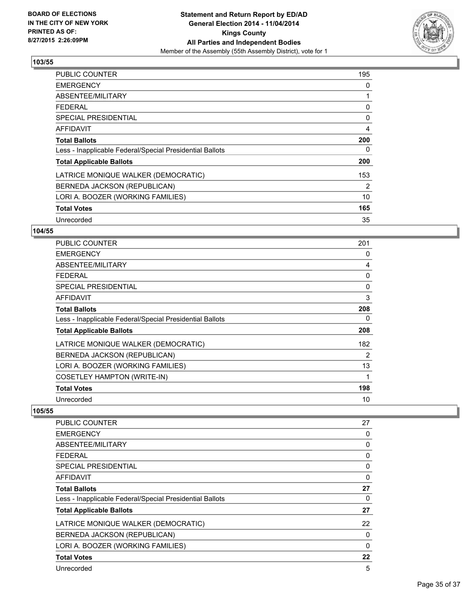

| <b>PUBLIC COUNTER</b>                                    | 195 |
|----------------------------------------------------------|-----|
| <b>EMERGENCY</b>                                         | 0   |
| ABSENTEE/MILITARY                                        | 1   |
| FFDFRAI                                                  | 0   |
| SPECIAL PRESIDENTIAL                                     | 0   |
| <b>AFFIDAVIT</b>                                         | 4   |
| <b>Total Ballots</b>                                     | 200 |
| Less - Inapplicable Federal/Special Presidential Ballots | 0   |
| <b>Total Applicable Ballots</b>                          | 200 |
| LATRICE MONIQUE WALKER (DEMOCRATIC)                      | 153 |
| BERNEDA JACKSON (REPUBLICAN)                             | 2   |
| LORI A. BOOZER (WORKING FAMILIES)                        | 10  |
| <b>Total Votes</b>                                       | 165 |
| Unrecorded                                               | 35  |

#### **104/55**

| <b>PUBLIC COUNTER</b>                                    | 201      |
|----------------------------------------------------------|----------|
| <b>EMERGENCY</b>                                         | 0        |
| ABSENTEE/MILITARY                                        | 4        |
| <b>FEDERAL</b>                                           | 0        |
| <b>SPECIAL PRESIDENTIAL</b>                              | $\Omega$ |
| <b>AFFIDAVIT</b>                                         | 3        |
| <b>Total Ballots</b>                                     | 208      |
| Less - Inapplicable Federal/Special Presidential Ballots | 0        |
| <b>Total Applicable Ballots</b>                          | 208      |
| LATRICE MONIQUE WALKER (DEMOCRATIC)                      | 182      |
| BERNEDA JACKSON (REPUBLICAN)                             | 2        |
| LORI A. BOOZER (WORKING FAMILIES)                        | 13       |
| <b>COSETLEY HAMPTON (WRITE-IN)</b>                       | 1        |
| <b>Total Votes</b>                                       | 198      |
| Unrecorded                                               | 10       |

| PUBLIC COUNTER                                           | 27 |
|----------------------------------------------------------|----|
| <b>EMERGENCY</b>                                         | 0  |
| ABSENTEE/MILITARY                                        | 0  |
| <b>FEDERAL</b>                                           | 0  |
| <b>SPECIAL PRESIDENTIAL</b>                              | 0  |
| <b>AFFIDAVIT</b>                                         | 0  |
| <b>Total Ballots</b>                                     | 27 |
| Less - Inapplicable Federal/Special Presidential Ballots | 0  |
| <b>Total Applicable Ballots</b>                          | 27 |
| LATRICE MONIQUE WALKER (DEMOCRATIC)                      | 22 |
| BERNEDA JACKSON (REPUBLICAN)                             | 0  |
| LORI A. BOOZER (WORKING FAMILIES)                        | 0  |
| <b>Total Votes</b>                                       | 22 |
| Unrecorded                                               | 5  |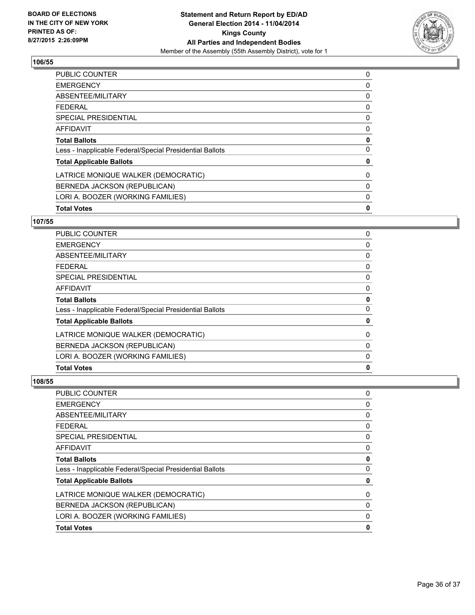

| <b>PUBLIC COUNTER</b>                                    | 0           |
|----------------------------------------------------------|-------------|
| <b>EMERGENCY</b>                                         | 0           |
| ABSENTEE/MILITARY                                        | 0           |
| <b>FEDERAL</b>                                           | 0           |
| <b>SPECIAL PRESIDENTIAL</b>                              | 0           |
| <b>AFFIDAVIT</b>                                         | 0           |
| <b>Total Ballots</b>                                     | 0           |
| Less - Inapplicable Federal/Special Presidential Ballots | 0           |
| <b>Total Applicable Ballots</b>                          | 0           |
| LATRICE MONIQUE WALKER (DEMOCRATIC)                      | 0           |
| BERNEDA JACKSON (REPUBLICAN)                             | 0           |
| LORI A. BOOZER (WORKING FAMILIES)                        | 0           |
| <b>Total Votes</b>                                       | $\mathbf 0$ |

# **107/55**

| 0            |
|--------------|
| 0            |
| 0            |
| 0            |
| 0            |
| 0            |
| 0            |
| $\mathbf{0}$ |
| 0            |
| 0            |
| 0            |
| 0            |
| 0            |
|              |

| PUBLIC COUNTER                                           | 0           |
|----------------------------------------------------------|-------------|
| EMERGENCY                                                | 0           |
| ABSENTEE/MILITARY                                        | 0           |
| FEDERAL                                                  | 0           |
| SPECIAL PRESIDENTIAL                                     | 0           |
| AFFIDAVIT                                                | 0           |
| <b>Total Ballots</b>                                     | 0           |
| Less - Inapplicable Federal/Special Presidential Ballots | $\mathbf 0$ |
| <b>Total Applicable Ballots</b>                          | 0           |
| LATRICE MONIQUE WALKER (DEMOCRATIC)                      | 0           |
| BERNEDA JACKSON (REPUBLICAN)                             | 0           |
| LORI A. BOOZER (WORKING FAMILIES)                        | 0           |
| <b>Total Votes</b>                                       | $\mathbf 0$ |
|                                                          |             |